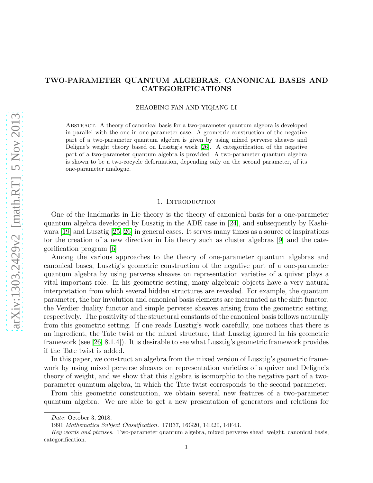# TWO-PARAMETER QUANTUM ALGEBRAS, CANONICAL BASES AND CATEGORIFICATIONS

ZHAOBING FAN AND YIQIANG LI

Abstract. A theory of canonical basis for a two-parameter quantum algebra is developed in parallel with the one in one-parameter case. A geometric construction of the negative part of a two-parameter quantum algebra is given by using mixed perverse sheaves and Deligne's weight theory based on Lusztig's work [\[26\]](#page-32-0). A categorification of the negative part of a two-parameter quantum algebra is provided. A two-parameter quantum algebra is shown to be a two-cocycle deformation, depending only on the second parameter, of its one-parameter analogue.

## 1. INTRODUCTION

<span id="page-0-0"></span>One of the landmarks in Lie theory is the theory of canonical basis for a one-parameter quantum algebra developed by Lusztig in the ADE case in [\[24\]](#page-32-1), and subsequently by Kashiwara [\[19\]](#page-32-2) and Lusztig [\[25,](#page-32-3) [26\]](#page-32-0) in general cases. It serves many times as a source of inspirations for the creation of a new direction in Lie theory such as cluster algebras [\[9\]](#page-31-0) and the categorification program [\[6\]](#page-31-1).

Among the various approaches to the theory of one-parameter quantum algebras and canonical bases, Lusztig's geometric construction of the negative part of a one-parameter quantum algebra by using perverse sheaves on representation varieties of a quiver plays a vital important role. In his geometric setting, many algebraic objects have a very natural interpretation from which several hidden structures are revealed. For example, the quantum parameter, the bar involution and canonical basis elements are incarnated as the shift functor, the Verdier duality functor and simple perverse sheaves arising from the geometric setting, respectively. The positivity of the structural constants of the canonical basis follows naturally from this geometric setting. If one reads Lusztig's work carefully, one notices that there is an ingredient, the Tate twist or the mixed structure, that Lusztig ignored in his geometric framework (see [\[26,](#page-32-0) 8.1.4]). It is desirable to see what Lusztig's geometric framework provides if the Tate twist is added.

In this paper, we construct an algebra from the mixed version of Lusztig's geometric framework by using mixed perverse sheaves on representation varieties of a quiver and Deligne's theory of weight, and we show that this algebra is isomorphic to the negative part of a twoparameter quantum algebra, in which the Tate twist corresponds to the second parameter.

From this geometric construction, we obtain several new features of a two-parameter quantum algebra. We are able to get a new presentation of generators and relations for

Date: October 3, 2018.

<sup>1991</sup> Mathematics Subject Classification. 17B37, 16G20, 14R20, 14F43.

Key words and phrases. Two-parameter quantum algebra, mixed perverse sheaf, weight, canonical basis, categorification.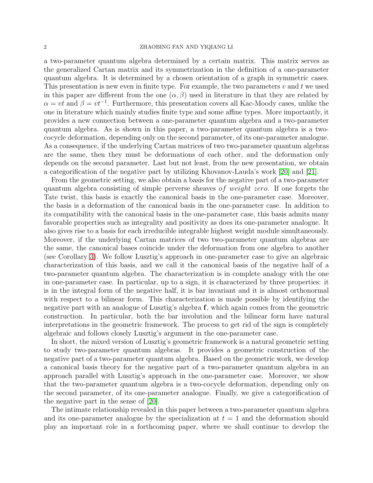a two-parameter quantum algebra determined by a certain matrix. This matrix serves as the generalized Cartan matrix and its symmetrization in the definition of a one-parameter quantum algebra. It is determined by a chosen orientation of a graph in symmetric cases. This presentation is new even in finite type. For example, the two parameters  $v$  and  $t$  we used in this paper are different from the one  $(\alpha, \beta)$  used in literature in that they are related by  $\alpha = vt$  and  $\beta = vt^{-1}$ . Furthermore, this presentation covers all Kac-Moody cases, unlike the one in literature which mainly studies finite type and some affine types. More importantly, it provides a new connection between a one-parameter quantum algebra and a two-parameter quantum algebra. As is shown in this paper, a two-parameter quantum algebra is a twococycle deformation, depending only on the second parameter, of its one-parameter analogue. As a consequence, if the underlying Cartan matrices of two two-parameter quantum algebras are the same, then they must be deformations of each other, and the deformation only depends on the second parameter. Last but not least, from the new presentation, we obtain a categorification of the negative part by utilizing Khovanov-Lauda's work [\[20\]](#page-32-4) and [\[21\]](#page-32-5).

From the geometric setting, we also obtain a basis for the negative part of a two-parameter quantum algebra consisting of simple perverse sheaves of weight zero. If one forgets the Tate twist, this basis is exactly the canonical basis in the one-parameter case. Moreover, the basis is a deformation of the canonical basis in the one-parameter case. In addition to its compatibility with the canonical basis in the one-parameter case, this basis admits many favorable properties such as integrality and positivity as does its one-parameter analogue. It also gives rise to a basis for each irreducible integrable highest weight module simultaneously. Moreover, if the underlying Cartan matrices of two two-parameter quantum algebras are the same, the canonical bases coincide under the deformation from one algebra to another (see Corollary [3\)](#page-24-0). We follow Lusztig's approach in one-parameter case to give an algebraic characterization of this basis, and we call it the canonical basis of the negative half of a two-parameter quantum algebra. The characterization is in complete analogy with the one in one-parameter case. In particular, up to a sign, it is characterized by three properties: it is in the integral form of the negative half, it is bar invariant and it is almost orthonormal with respect to a bilinear form. This characterization is made possible by identifying the negative part with an analogue of Lusztig's algebra f, which again comes from the geometric construction. In particular, both the bar involution and the bilinear form have natural interpretations in the geometric framework. The process to get rid of the sign is completely algebraic and follows closely Lusztig's argument in the one-parameter case.

In short, the mixed version of Lusztig's geometric framework is a natural geometric setting to study two-parameter quantum algebras. It provides a geometric construction of the negative part of a two-parameter quantum algebra. Based on the geometric work, we develop a canonical basis theory for the negative part of a two-parameter quantum algebra in an approach parallel with Lusztig's approach in the one-parameter case. Moreover, we show that the two-parameter quantum algebra is a two-cocycle deformation, depending only on the second parameter, of its one-parameter analogue. Finally, we give a categorification of the negative part in the sense of [\[20\]](#page-32-4).

The intimate relationship revealed in this paper between a two-parameter quantum algebra and its one-parameter analogue by the specialization at  $t = 1$  and the deformation should play an important role in a forthcoming paper, where we shall continue to develop the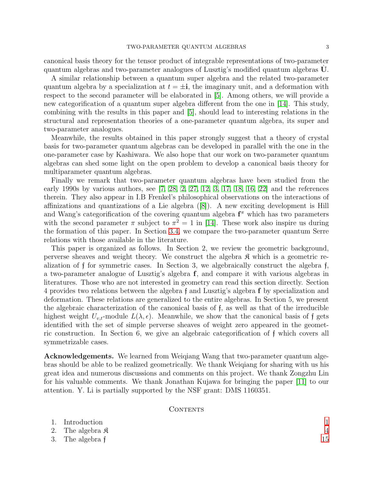canonical basis theory for the tensor product of integrable representations of two-parameter quantum algebras and two-parameter analogues of Lusztig's modified quantum algebras  $\dot{\mathbf{U}}$ .

A similar relationship between a quantum super algebra and the related two-parameter quantum algebra by a specialization at  $t = \pm i$ , the imaginary unit, and a deformation with respect to the second parameter will be elaborated in [\[5\]](#page-31-2). Among others, we will provide a new categorification of a quantum super algebra different from the one in [\[14\]](#page-32-6). This study, combining with the results in this paper and [\[5\]](#page-31-2), should lead to interesting relations in the structural and representation theories of a one-parameter quantum algebra, its super and two-parameter analogues.

Meanwhile, the results obtained in this paper strongly suggest that a theory of crystal basis for two-parameter quantum algebras can be developed in parallel with the one in the one-parameter case by Kashiwara. We also hope that our work on two-parameter quantum algebras can shed some light on the open problem to develop a canonical basis theory for multiparameter quantum algebras.

Finally we remark that two-parameter quantum algebras have been studied from the early 1990s by various authors, see  $[7, 28, 2, 27, 12, 3, 17, 18, 16, 22]$  $[7, 28, 2, 27, 12, 3, 17, 18, 16, 22]$  $[7, 28, 2, 27, 12, 3, 17, 18, 16, 22]$  $[7, 28, 2, 27, 12, 3, 17, 18, 16, 22]$  $[7, 28, 2, 27, 12, 3, 17, 18, 16, 22]$  $[7, 28, 2, 27, 12, 3, 17, 18, 16, 22]$  $[7, 28, 2, 27, 12, 3, 17, 18, 16, 22]$  $[7, 28, 2, 27, 12, 3, 17, 18, 16, 22]$  $[7, 28, 2, 27, 12, 3, 17, 18, 16, 22]$  $[7, 28, 2, 27, 12, 3, 17, 18, 16, 22]$  and the references therein. They also appear in I.B Frenkel's philosophical observations on the interactions of affinizations and quantizations of a Lie algebra ([\[8\]](#page-31-7)). A new exciting development is Hill and Wang's categorification of the covering quantum algebra  $f^{\pi}$  which has two parameters with the second parameter  $\pi$  subject to  $\pi^2 = 1$  in [\[14\]](#page-32-6). These work also inspire us during the formation of this paper. In Section [3.4,](#page-21-0) we compare the two-parameter quantum Serre relations with those available in the literature.

This paper is organized as follows. In Section 2, we review the geometric background, perverse sheaves and weight theory. We construct the algebra  $\mathfrak{K}$  which is a geometric realization of f for symmetric cases. In Section 3, we algebraically construct the algebra f, a two-parameter analogue of Lusztig's algebra f, and compare it with various algebras in literatures. Those who are not interested in geometry can read this section directly. Section 4 provides two relations between the algebra f and Lusztig's algebra f by specialization and deformation. These relations are generalized to the entire algebras. In Section 5, we present the algebraic characterization of the canonical basis of f, as well as that of the irreducible highest weight  $U_{v,t}$ -module  $L(\lambda, \epsilon)$ . Meanwhile, we show that the canonical basis of f gets identified with the set of simple perverse sheaves of weight zero appeared in the geometric construction. In Section 6, we give an algebraic categorification of f which covers all symmetrizable cases.

Acknowledgements. We learned from Weiqiang Wang that two-parameter quantum algebras should be able to be realized geometrically. We thank Weiqiang for sharing with us his great idea and numerous discussions and comments on this project. We thank Zongzhu Lin for his valuable comments. We thank Jonathan Kujawa for bringing the paper [\[11\]](#page-31-8) to our attention. Y. Li is partially supported by the NSF grant: DMS 1160351.

## CONTENTS

| 1. Introduction              |    |
|------------------------------|----|
| 2. The algebra $\mathfrak K$ |    |
| 3. The algebra f             | 15 |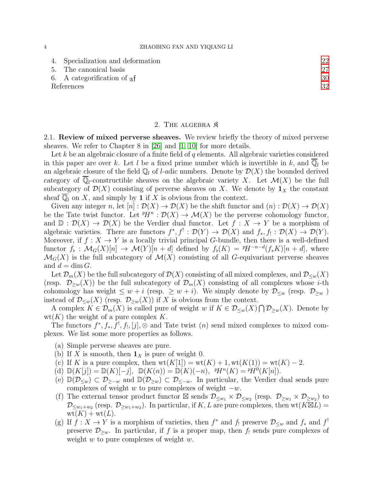|            | 4. Specialization and deformation           |    |
|------------|---------------------------------------------|----|
|            | 5. The canonical basis                      |    |
|            | 6. A categorification of $_{\mathfrak{A}}f$ | 30 |
| References |                                             | 32 |
|            |                                             |    |

### 2. THE ALGEBRA  $\mathfrak K$

<span id="page-3-1"></span><span id="page-3-0"></span>2.1. Review of mixed perverse sheaves. We review briefly the theory of mixed perverse sheaves. We refer to Chapter 8 in [\[26\]](#page-32-0) and [\[1,](#page-31-10) [10\]](#page-31-11) for more details.

Let k be an algebraic closure of a finite field of  $q$  elements. All algebraic varieties considered in this paper are over k. Let l be a fixed prime number which is invertible in k, and  $\mathbb{Q}_l$  be an algebraic closure of the field  $\mathbb{Q}_l$  of *l*-adic numbers. Denote by  $\mathcal{D}(X)$  the bounded derived category of  $\mathbb{Q}_l$ -constructible sheaves on the algebraic variety X. Let  $\mathcal{M}(X)$  be the full subcategory of  $\mathcal{D}(X)$  consisting of perverse sheaves on X. We denote by  $\mathbf{1}_X$  the constant sheaf  $\overline{\mathbb{Q}}_l$  on X, and simply by 1 if X is obvious from the context.

Given any integer n, let  $[n]: \mathcal{D}(X) \to \mathcal{D}(X)$  be the shift functor and  $(n): \mathcal{D}(X) \to \mathcal{D}(X)$ be the Tate twist functor. Let  $^pH^n : \mathcal{D}(X) \to \mathcal{M}(X)$  be the perverse cohomology functor, and  $\mathbb{D}: \mathcal{D}(X) \to \mathcal{D}(X)$  be the Verdier dual functor. Let  $f: X \to Y$  be a morphism of algebraic varieties. There are functors  $f^*, f' : \mathcal{D}(Y) \to \mathcal{D}(X)$  and  $f_*, f_! : \mathcal{D}(X) \to \mathcal{D}(Y)$ . Moreover, if  $f: X \to Y$  is a locally trivial principal G-bundle, then there is a well-defined functor  $f_{\flat}: \mathcal{M}_G(X)[n] \to \mathcal{M}(Y)[n+d]$  defined by  $f_{\flat}(K) = {^pH}^{-n-d}(f_*K)[n+d]$ , where  $\mathcal{M}_G(X)$  is the full subcategory of  $\mathcal{M}(X)$  consisting of all G-equivariant perverse sheaves and  $d = \dim G$ .

Let  $\mathcal{D}_m(X)$  be the full subcategory of  $\mathcal{D}(X)$  consisting of all mixed complexes, and  $\mathcal{D}_{\leq w}(X)$ (resp.  $\mathcal{D}_{\geq w}(X)$ ) be the full subcategory of  $\mathcal{D}_m(X)$  consisting of all complexes whose *i*-th cohomology has weight  $\leq w + i$  (resp.  $\geq w + i$ ). We simply denote by  $\mathcal{D}_{\leq w}$  (resp.  $\mathcal{D}_{\geq w}$ ) instead of  $\mathcal{D}_{\leq w}(X)$  (resp.  $\mathcal{D}_{\geq w}(X)$ ) if X is obvious from the context.

A complex  $K \in \mathcal{D}_m(X)$  is called pure of weight w if  $K \in \mathcal{D}_{\leq w}(X) \cap \mathcal{D}_{\geq w}(X)$ . Denote by  $wt(K)$  the weight of a pure complex K.

The functors  $f^*, f_*, f^!, f_!, [j], \otimes \text{ and Tate twist }(n) \text{ send mixed complexes to mixed com$ plexes. We list some more properties as follows.

- (a) Simple perverse sheaves are pure.
- (b) If X is smooth, then  $\mathbf{1}_X$  is pure of weight 0.
- (c) If K is a pure complex, then  $wt(K[1]) = wt(K) + 1, wt(K(1)) = wt(K) 2$ .
- (d)  $\mathbb{D}(K[j]) = \mathbb{D}(K)[-j], \mathbb{D}(K(n)) = \mathbb{D}(K)(-n), \mathbb{P}H^{n}(K) = \mathbb{P}H^{0}(K[n]).$
- (e)  $\mathbb{D}(\mathcal{D}_{\leq w}) \subset \mathcal{D}_{\geq -w}$  and  $\mathbb{D}(\mathcal{D}_{\geq w}) \subset \mathcal{D}_{\leq -w}$ . In particular, the Verdier dual sends pure complexes of weight w to pure complexes of weight  $-w$ .
- (f) The external tensor product functor  $\boxtimes$  sends  $\mathcal{D}_{\leq w_1} \times \mathcal{D}_{\leq w_2}$  (resp.  $\mathcal{D}_{\geq w_1} \times \mathcal{D}_{\geq w_2}$ ) to  $\mathcal{D}_{\leq w_1+w_2}$  (resp.  $\mathcal{D}_{\geq w_1+w_2}$ ). In particular, if K, L are pure complexes, then wt $(K\boxtimes L)$  $wt(K) + wt(L).$
- (g) If  $f: X \to Y$  is a morphism of varieties, then  $f^*$  and  $f_!$  preserve  $\mathcal{D}_{\leq w}$  and  $f_*$  and  $f^!$ preserve  $\mathcal{D}_{\geq w}$ . In particular, if f is a proper map, then f sends pure complexes of weight  $w$  to pure complexes of weight  $w$ .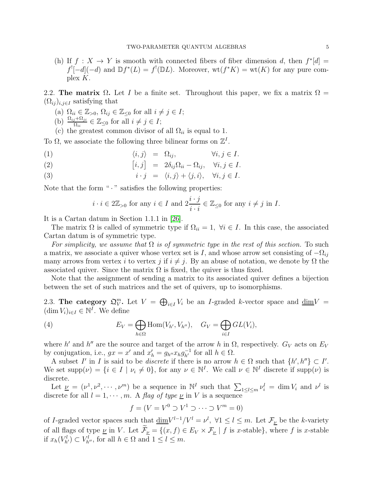(h) If  $f: X \to Y$  is smooth with connected fibers of fiber dimension d, then  $f^*[d] =$  $f'[-d](-d)$  and  $\mathbb{D}f^*(L) = f'(\mathbb{D}L)$ . Moreover,  $\text{wt}(f^*K) = \text{wt}(K)$  for any pure complex K.

<span id="page-4-1"></span>2.2. The matrix  $\Omega$ . Let I be a finite set. Throughout this paper, we fix a matrix  $\Omega$  =  $(\Omega_{ij})_{i,j\in I}$  satisfying that

- (a)  $\Omega_{ii} \in \mathbb{Z}_{>0}, \, \Omega_{ij} \in \mathbb{Z}_{\leq 0}$  for all  $i \neq j \in I$ ;
- (b)  $\frac{\Omega_{ij} + \Omega_{ji}}{\Omega_{ii}} \in \mathbb{Z}_{\leq 0}$  for all  $i \neq j \in I$ ;
- (c) the greatest common divisor of all  $\Omega_{ii}$  is equal to 1.

To  $\Omega$ , we associate the following three bilinear forms on  $\mathbb{Z}^I$ .

- (1)  $\langle i, j \rangle = \Omega_{ij}, \qquad \forall i, j \in I.$
- (2)  $[i, j] = 2\delta_{ij}\Omega_{ii} \Omega_{ij}, \quad \forall i, j \in I.$
- (3)  $i \cdot j = \langle i, j \rangle + \langle j, i \rangle, \quad \forall i, j \in I.$

Note that the form " $\cdot$  " satisfies the following properties:

<span id="page-4-0"></span>
$$
i \cdot i \in 2\mathbb{Z}_{>0}
$$
 for any  $i \in I$  and  $2\frac{i \cdot j}{i \cdot i} \in \mathbb{Z}_{\leq 0}$  for any  $i \neq j$  in I.

It is a Cartan datum in Section 1.1.1 in [\[26\]](#page-32-0).

The matrix  $\Omega$  is called of symmetric type if  $\Omega_{ii} = 1$ ,  $\forall i \in I$ . In this case, the associated Cartan datum is of symmetric type.

For simplicity, we assume that  $\Omega$  is of symmetric type in the rest of this section. To such a matrix, we associate a quiver whose vertex set is I, and whose arrow set consisting of  $-\Omega_{ij}$ many arrows from vertex i to vertex j if  $i \neq j$ . By an abuse of notation, we denote by  $\Omega$  the associated quiver. Since the matrix  $\Omega$  is fixed, the quiver is thus fixed.

Note that the assignment of sending a matrix to its associated quiver defines a bijection between the set of such matrices and the set of quivers, up to isomorphisms.

2.3. The category  $\mathfrak{Q}_{V}^m$ . Let  $V = \bigoplus_{i \in I} V_i$  be an *I*-graded k-vector space and  $\underline{\dim}V =$  $(\dim V_i)_{i\in I} \in \mathbb{N}^I$ . We define

(4) 
$$
E_V = \bigoplus_{h \in \Omega} \text{Hom}(V_{h'}, V_{h''}), \quad G_V = \bigoplus_{i \in I} GL(V_i),
$$

where h' and h'' are the source and target of the arrow h in  $\Omega$ , respectively.  $G_V$  acts on  $E_V$ by conjugation, i.e.,  $gx = x'$  and  $x'_h = g_{h''} x_h g_{h'}^{-1}$  for all  $h \in \Omega$ .

A subset I' in I is said to be *discrete* if there is no arrow  $h \in \Omega$  such that  $\{h', h''\} \subset I'$ . We set  $\text{supp}(\nu) = \{i \in I \mid \nu_i \neq 0\}$ , for any  $\nu \in \mathbb{N}^I$ . We call  $\nu \in \mathbb{N}^I$  discrete if  $\text{supp}(\nu)$  is discrete.

Let  $\underline{\nu} = (\nu^1, \nu^2, \cdots, \nu^m)$  be a sequence in  $\mathbb{N}^I$  such that  $\sum_{1 \leq l \leq m} \nu_i^l = \dim V_i$  and  $\nu^l$  is discrete for all  $l = 1, \dots, m$ . A flag of type  $\nu$  in V is a sequence

$$
f = (V = V^0 \supset V^1 \supset \cdots \supset V^m = 0)
$$

of I-graded vector spaces such that  $\underline{\dim}V^{l-1}/V^l = \nu^l$ ,  $\forall 1 \leq l \leq m$ . Let  $\mathcal{F}_{\underline{\nu}}$  be the k-variety of all flags of type  $\underline{\nu}$  in V. Let  $\widetilde{\mathcal{F}}_{\underline{\nu}} = \{(x, f) \in E_V \times \mathcal{F}_{\underline{\nu}} \mid f \text{ is } x\text{-stable}\}\,$ , where f is x-stable if  $x_h(V^l_{h'}) \subset V^l_{h''}$ , for all  $h \in \Omega$  and  $1 \leq l \leq m$ .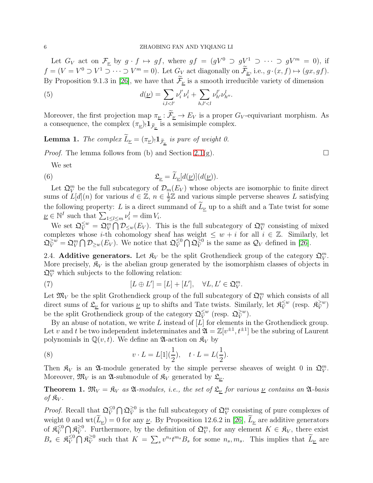Let  $G_V$  act on  $\mathcal{F}_{\underline{\nu}}$  by  $g \cdot f \mapsto gf$ , where  $gf = (gV^0 \supset gV^1 \supset \cdots \supset gV^m = 0)$ , if  $f = (V = V^0 \supset V^1 \supset \cdots \supset V^m = 0)$ . Let  $G_V$  act diagonally on  $\mathcal{F}_{\underline{\nu}},$  i.e.,  $g \cdot (x, f) \mapsto (gx, gf)$ . By Proposition 9.1.3 in [\[26\]](#page-32-0), we have that  $\mathcal{F}_{\nu}$  is a smooth irreducible variety of dimension

(5) 
$$
d(\underline{\nu}) = \sum_{i,l < l'} \nu_i^{l'} \nu_i^l + \sum_{h,l' < l} \nu_{h'}^{l'} \nu_{h''}^l.
$$

Moreover, the first projection map  $\pi_{\underline{\nu}} : \widetilde{\mathcal{F}}_{\underline{\nu}} \to E_V$  is a proper  $G_V$ -equivariant morphism. As a consequence, the complex  $(\pi_{\underline{\nu}})_! \mathbf{1}_{\widetilde{\mathcal{F}}_{\underline{\nu}}}$  is a semisimple complex.

<span id="page-5-2"></span>**Lemma 1.** The complex  $L_{\underline{\nu}} = (\pi_{\underline{\nu}})_! \mathbf{1}_{\widetilde{\mathcal{F}}_{\underline{\nu}}}$  is pure of weight 0.

*Proof.* The lemma follows from (b) and Section [2.1\(](#page-3-1)g).

<span id="page-5-0"></span>We set

(6) 
$$
\mathfrak{L}_{\underline{\nu}} = \widetilde{L}_{\underline{\nu}}[d(\underline{\nu})](d(\underline{\nu})).
$$

Let  $\mathfrak{Q}_V^m$  be the full subcategory of  $\mathcal{D}_m(E_V)$  whose objects are isomorphic to finite direct sums of  $L[d](n)$  for various  $d \in \mathbb{Z}$ ,  $n \in \frac{1}{2}$  $\frac{1}{2}\mathbb{Z}$  and various simple perverse sheaves L satisfying the following property: L is a direct summand of  $\tilde{L}_{\nu}$  up to a shift and a Tate twist for some  $\underline{\nu} \in \mathbb{N}^I$  such that  $\sum_{1 \leq l \leq m} \nu_i^l = \dim V_i$ .

We set  $\mathfrak{Q}_{V}^{\leq w} = \mathfrak{Q}_{V}^{m} \overline{\bigcap} \mathcal{D}_{\leq w}(E_{V})$ . This is the full subcategory of  $\mathfrak{Q}_{V}^{m}$  consisting of mixed complexes whose *i*-th cohomology sheaf has weight  $\leq w + i$  for all  $i \in \mathbb{Z}$ . Similarly, let  $\mathfrak{Q}_V^{\geq w} = \mathfrak{Q}_V^m \bigcap \mathcal{D}_{\geq w}(E_V)$ . We notice that  $\mathfrak{Q}_V^{\leq 0}$  $\frac{\leq 0}{V}\bigcap \mathfrak{Q}^{\geq 0}_{V}$  $\frac{\geq 0}{V}$  is the same as  $\mathcal{Q}_V$  defined in [\[26\]](#page-32-0).

2.4. Additive generators. Let  $\mathfrak{K}_V$  be the split Grothendieck group of the category  $\mathfrak{Q}_V^m$ . More precisely,  $\mathfrak{K}_V$  is the abelian group generated by the isomorphism classes of objects in  $\mathfrak{Q}_V^m$  which subjects to the following relation:

(7) 
$$
[L \oplus L'] = [L] + [L'], \quad \forall L, L' \in \mathfrak{Q}_V^m.
$$

Let  $\mathfrak{M}_V$  be the split Grothendieck group of the full subcategory of  $\mathfrak{Q}_V^m$  which consists of all direct sums of  $\mathfrak{L}_{\underline{\nu}}$  for various  $\underline{\nu}$  up to shifts and Tate twists. Similarly, let  $\mathfrak{K}_{V}^{\leq w}$  $\frac{\leq w}{V}$  (resp.  $\mathfrak{K}_{V}^{\geq w}$  $\frac{\geq w}{V}$ be the split Grothendieck group of the category  $\mathfrak{Q}_{V}^{\leq w}$  $\frac{\leq w}{V}$  (resp.  $\mathfrak{Q}_{V}^{\geq w}$  $\frac{\geq w}{V}$ ).

By an abuse of notation, we write  $L$  instead of  $[L]$  for elements in the Grothendieck group. Let v and t be two independent indeterminates and  $\mathfrak{A} = \mathbb{Z}[v^{\pm 1}, t^{\pm 1}]$  be the subring of Laurent polynomials in  $\mathbb{Q}(v, t)$ . We define an  $\mathfrak{A}$ -action on  $\mathfrak{K}_V$  by

<span id="page-5-3"></span>(8) 
$$
v \cdot L = L[1](\frac{1}{2}), \quad t \cdot L = L(\frac{1}{2}).
$$

Then  $\mathfrak{K}_V$  is an  $\mathfrak{A}$ -module generated by the simple perverse sheaves of weight 0 in  $\mathfrak{Q}_V^m$ . Moreover,  $\mathfrak{M}_V$  is an  $\mathfrak{A}$ -submodule of  $\mathfrak{K}_V$  generated by  $\mathfrak{L}_{\underline{\nu}}$ .

<span id="page-5-1"></span>**Theorem 1.**  $\mathfrak{M}_V = \mathfrak{K}_V$  as  $\mathfrak{A}$ -modules, i.e., the set of  $\mathfrak{L}_V$  for various  $V$  contains an  $\mathfrak{A}$ -basis of  $\mathfrak{K}_V$ .

*Proof.* Recall that  $\mathfrak{Q}_{V}^{\leq 0}$  $\frac{\leq 0}{V}\bigcap \mathfrak{Q}_{V}^{\geq 0}$  $\frac{\geq 0}{V}$  is the full subcategory of  $\mathfrak{Q}_V^m$  consisting of pure complexes of weight 0 and wt $(\widetilde{L}_{\underline{\nu}}) = 0$  for any  $\underline{\nu}$ . By Proposition 12.6.2 in [\[26\]](#page-32-0),  $\widetilde{L}_{\underline{\nu}}$  are additive generators of  $\mathfrak{K}_V^{\leq 0}$  $\frac{\leq 0}{V}\bigcap \mathfrak{K}_V^{\geq 0}$ <sup>20</sup>. Furthermore, by the definition of  $\mathfrak{Q}_{V}^{m}$ , for any element  $K \in \mathfrak{K}_{V}$ , there exist  $B_s \in \mathfrak{K}_V^{\leq 0}$  $\frac{\leq 0}{V} \bigcap \mathfrak{K}_V^{\geq 0}$  $\tilde{V}$  such that  $K = \sum_s v^{n_s} t^{m_s} B_s$  for some  $n_s, m_s$ . This implies that  $\widetilde{L}_{\underline{\nu}}$  are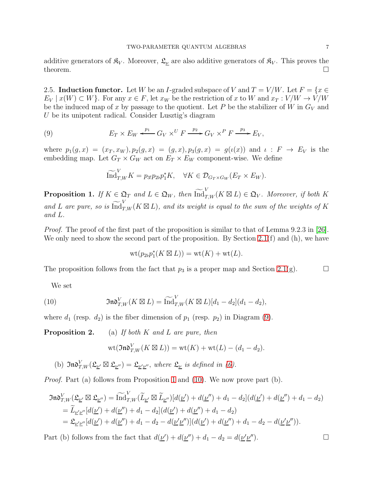additive generators of  $\mathfrak{K}_V$ . Moreover,  $\mathfrak{L}_\nu$  are also additive generators of  $\mathfrak{K}_V$ . This proves the theorem.  $\Box$ 

2.5. Induction functor. Let W be an I-graded subspace of V and  $T = V/W$ . Let  $F = \{x \in$  $E_V | x(W) \subset W$ . For any  $x \in F$ , let  $x_W$  be the restriction of x to W and  $x_T : V/W \to V/W$ be the induced map of x by passage to the quotient. Let P be the stabilizer of W in  $G_V$  and U be its unipotent radical. Consider Lusztig's diagram

(9) 
$$
E_T \times E_W \xleftarrow{p_1} G_V \times^U F \xrightarrow{p_2} G_V \times^P F \xrightarrow{p_3} E_V,
$$

where  $p_1(g, x) = (x_T, x_W), p_2(g, x) = (g, x), p_3(g, x) = g(\iota(x))$  and  $\iota : F \to E_V$  is the embedding map. Let  $G_T \times G_W$  act on  $E_T \times E_W$  component-wise. We define

<span id="page-6-0"></span>
$$
\widetilde{\mathrm{Ind}}_{T,W}^V K = p_{3!} p_{2b} p_1^* K, \quad \forall K \in \mathcal{D}_{G_T \times G_W} (E_T \times E_W).
$$

<span id="page-6-1"></span>**Proposition 1.** If  $K \in \mathfrak{Q}_T$  and  $L \in \mathfrak{Q}_W$ , then  $\widetilde{\text{Ind}}_{T,W}^V(K \boxtimes L) \in \mathfrak{Q}_V$ . Moreover, if both K and L are pure, so is  $\widetilde{\mathrm{Ind}}_{T,W}^V(K \boxtimes L)$ , and its weight is equal to the sum of the weights of K and L.

Proof. The proof of the first part of the proposition is similar to that of Lemma 9.2.3 in [\[26\]](#page-32-0). We only need to show the second part of the proposition. By Section [2.1\(](#page-3-1)f) and (h), we have

$$
\operatorname{wt}(p_{2\flat}p_1^*(K \boxtimes L)) = \operatorname{wt}(K) + \operatorname{wt}(L).
$$

The proposition follows from the fact that  $p_3$  is a proper map and Section [2.1\(](#page-3-1)g).

We set

(10) 
$$
\mathfrak{Ind}_{T,W}^V(K \boxtimes L) = \widetilde{\mathrm{Ind}}_{T,W}^V(K \boxtimes L)[d_1 - d_2](d_1 - d_2),
$$

where  $d_1$  (resp.  $d_2$ ) is the fiber dimension of  $p_1$  (resp.  $p_2$ ) in Diagram [\(9\)](#page-6-0).

**Proposition 2.** (a) If both K and L are pure, then

<span id="page-6-2"></span>
$$
\text{wt}(\mathfrak{Ind}_{T,W}^V(K\boxtimes L))=\text{wt}(K)+\text{wt}(L)-(d_1-d_2).
$$

(b)  $\mathfrak{Ind}_{T,W}^V(\mathfrak{L}_{\underline{\nu}'} \boxtimes \mathfrak{L}_{\underline{\nu}'}) = \mathfrak{L}_{\underline{\nu}'\underline{\nu}''}$ , where  $\mathfrak{L}_{\underline{\nu}}$  is defined in [\(6\)](#page-5-0).

*Proof.* Part (a) follows from Proposition [1](#page-6-1) and [\(10\)](#page-6-2). We now prove part (b).

$$
\begin{split}\n\Im \mathfrak{w}^V_{T,W}(\mathfrak{L}_{\underline{\nu}'} \boxtimes \mathfrak{L}_{\underline{\nu}'}) &= \widetilde{\mathrm{Ind}}^V_{T,W}(\widetilde{L}_{\underline{\nu}'} \boxtimes \widetilde{L}_{\underline{\nu}'})[d(\underline{\nu}') + d(\underline{\nu}'') + d_1 - d_2](d(\underline{\nu}') + d(\underline{\nu}'') + d_1 - d_2) \\
&= \widetilde{L}_{\underline{\nu}'\underline{\nu}''}[d(\underline{\nu}') + d(\underline{\nu}'') + d_1 - d_2](d(\underline{\nu}') + d(\underline{\nu}'') + d_1 - d_2) \\
&= \mathfrak{L}_{\underline{\nu}'\underline{\nu}''}[d(\underline{\nu}') + d(\underline{\nu}'') + d_1 - d_2 - d(\underline{\nu}'\underline{\nu}'')](d(\underline{\nu}') + d(\underline{\nu}'') + d_1 - d_2 - d(\underline{\nu}'\underline{\nu}'')).\n\end{split}
$$

Part (b) follows from the fact that  $d(\underline{\nu}') + d(\underline{\nu}'') + d_1 - d_2 = d(\underline{\nu}'\underline{\nu})$  $\Box$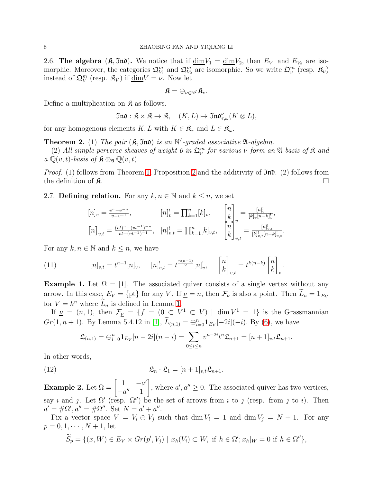<span id="page-7-1"></span>2.6. The algebra  $(\mathfrak{K}, \mathfrak{Im})$ . We notice that if  $\underline{\dim}V_1 = \underline{\dim}V_2$ , then  $E_{V_1}$  and  $E_{V_2}$  are isomorphic. Moreover, the categories  $\mathfrak{Q}_{V_1}^m$  and  $\mathfrak{Q}_{V_2}^m$  are isomorphic. So we write  $\mathfrak{Q}_{\nu}^m$  (resp.  $\mathfrak{K}_{\nu}$ ) instead of  $\mathfrak{Q}_V^m$  (resp.  $\mathfrak{K}_V$ ) if  $\underline{\dim}V = \nu$ . Now let

$$
\mathfrak{K}=\oplus_{\nu\in\mathbb{N}^I}\mathfrak{K}_\nu.
$$

Define a multiplication on  $\mathfrak{K}$  as follows.

$$
\mathfrak{Ind}:\mathfrak{K}\times\mathfrak{K}\rightarrow \mathfrak{K},\quad (K,L)\mapsto \mathfrak{Ind}_{\tau,\omega}^{\nu}(K\otimes L),
$$

for any homogenous elements  $K, L$  with  $K \in \mathfrak{K}_{\tau}$  and  $L \in \mathfrak{K}_{\omega}$ .

**Theorem 2.** (1) The pair  $(\mathfrak{K}, \mathfrak{Ind})$  is an  $\mathbb{N}^I$ -graded associative  $\mathfrak{A}$ -algebra.

(2) All simple perverse sheaves of weight 0 in  $\mathfrak{Q}_{\nu}^m$  for various  $\nu$  form an  $\mathfrak A$ -basis of  $\mathfrak K$  and  $a \mathbb{Q}(v, t)$ -basis of  $\mathfrak{K} \otimes_{\mathfrak{A}} \mathbb{Q}(v, t)$ .

*Proof.* (1) follows from Theorem [1,](#page-5-1) Proposition 2 and the additivity of  $\mathfrak{In}$ . (2) follows from the definition of  $\mathfrak{K}$ .

2.7. Defining relation. For any  $k, n \in \mathbb{N}$  and  $k \leq n$ , we set

$$
\begin{aligned}\n[n]_{v} &= \frac{v^{n} - v^{-n}}{v - v^{-1}}, & [n]_{v}^{!} = \prod_{k=1}^{n} [k]_{v}, & \begin{bmatrix} n \\ k \end{bmatrix}_{v} = \frac{[n]_{v}^{!}}{[k]_{v}^{!}[n-k]_{v}^{!}}, \\
[n]_{v,t} &= \frac{(vt)^{n} - (vt^{-1})^{-n}}{vt - (vt^{-1})^{-1}}, & [n]_{v,t}^{!} = \prod_{k=1}^{n} [k]_{v,t}, & \begin{bmatrix} n \\ k \end{bmatrix}_{v,t} = \frac{[n]_{v,t}^{!}}{[k]_{v,t}^{!}[n-k]_{v,t}^{!}}.\n\end{aligned}
$$

For any  $k, n \in \mathbb{N}$  and  $k \leq n$ , we have

<span id="page-7-0"></span>(11) 
$$
[n]_{v,t} = t^{n-1}[n]_v, \quad [n]_{v,t}^! = t^{\frac{n(n-1)}{2}}[n]_v^!, \quad \begin{bmatrix} n \\ k \end{bmatrix}_{v,t} = t^{k(n-k)} \begin{bmatrix} n \\ k \end{bmatrix}_v.
$$

**Example 1.** Let  $\Omega = [1]$ . The associated quiver consists of a single vertex without any arrow. In this case,  $E_V = \{pt\}$  for any V. If  $\nu = n$ , then  $\mathcal{F}_{\nu}$  is also a point. Then  $L_n = \mathbf{1}_{E_V}$ for  $V = k^n$  where  $L_n$  is defined in Lemma [1.](#page-5-2)

If  $\nu = (n, 1)$ , then  $\mathcal{F}_{\nu} = \{f = (0 \subset V^1 \subset V) \mid \dim V^1 = 1\}$  is the Grassmannian  $Gr(1, n+1)$ . By Lemma 5.4.12 in [\[1\]](#page-31-10),  $L_{(n,1)} = \bigoplus_{i=0}^{n} \mathbf{1}_{E_V}[-2i](-i)$ . By [\(6\)](#page-5-0), we have

$$
\mathfrak{L}_{(n,1)} = \bigoplus_{i=0}^{n} \mathbf{1}_{E_V}[n-2i](n-i) = \sum_{0 \le i \le n} v^{n-2i} t^n \mathfrak{L}_{n+1} = [n+1]_{v,t} \mathfrak{L}_{n+1}.
$$

In other words,

(12) 
$$
\mathfrak{L}_n \cdot \mathfrak{L}_1 = [n+1]_{v,t} \mathfrak{L}_{n+1}.
$$

Example 2. Let  $\Omega = \begin{bmatrix} 1 & -a' \\ a'' & 1 \end{bmatrix}$  $-a'' \quad 1$ 1 , where  $a', a'' \geq 0$ . The associated quiver has two vertices, say *i* and *j*. Let  $\Omega'$  (resp.  $\Omega''$ ) be the set of arrows from *i* to *j* (resp. from *j* to *i*). Then  $a' = \#\Omega', a'' = \#\Omega''.$  Set  $N = a' + a''.$ 

Fix a vector space  $V = V_i \oplus V_j$  such that  $\dim V_i = 1$  and  $\dim V_j = N + 1$ . For any  $p = 0, 1, \cdots, N + 1$ , let

$$
\widetilde{S}_p = \{(x, W) \in E_V \times Gr(p', V_j) \mid x_h(V_i) \subset W, \text{ if } h \in \Omega'; x_h|_W = 0 \text{ if } h \in \Omega''\},
$$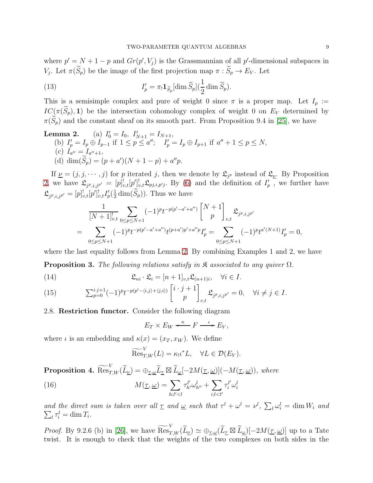where  $p' = N + 1 - p$  and  $Gr(p', V_j)$  is the Grassmannian of all p'-dimensional subspaces in V<sub>j</sub>. Let  $\pi(S_p)$  be the image of the first projection map  $\pi: S_p \to E_V$ . Let

(13) 
$$
I'_p = \pi_! \mathbf{1}_{\widetilde{S}_p} [\dim \widetilde{S}_p] (\frac{1}{2} \dim \widetilde{S}_p).
$$

This is a semisimple complex and pure of weight 0 since  $\pi$  is a proper map. Let  $I_p :=$  $IC(\pi(\widetilde{S}_p), 1)$  be the intersection cohomology complex of weight 0 on  $E_V$  determined by  $\pi(\widetilde{S}_p)$  and the constant sheaf on its smooth part. From Proposition 9.4 in [\[25\]](#page-32-3), we have

**Lemma 2.** (a)  $I'_0 = I_0$ ,  $I'_{N+1} = I_{N+1}$ , (b)  $I'_p = I_p \oplus I_{p-1}$  if  $1 \le p \le a''$ ;  $I'_p = I_p \oplus I_{p+1}$  if  $a'' + 1 \le p \le N$ , (c)  $I_{a''}=I_{a''+1}$ , (d)  $\dim(S_p) = (p + a')(N + 1 - p) + a''p$ .

If  $\underline{\nu} = (j, j, \dots, j)$  for p iterated j, then we denote by  $\mathfrak{L}_{j^p}$  instead of  $\mathfrak{L}_{\underline{\nu}}$ . By Proposition 2, we have  $\mathfrak{L}_{j^p,i,j^{p'}} = [p]^!_{v,t} [p']^!_{v,t} \mathfrak{L}_{p j,i,p'j}$ . By [\(6\)](#page-5-0) and the definition of  $I'_p$ , we further have  $\mathfrak{L}_{j^{p},i,j^{p'}}=[p]_{v,t}^![p']_{v,t}^!I'_p(\frac{1}{2}% )_{v,t}^!I'_{v}^!\!\!\!\!I'_{j}^!\!\!\!\!I'_{j}^!\!\!\!\!I'_{j}^!\!\!\!\!I'_{j}^!\!\!\!\!I'_{j}^!\!\!\!\!I'_{j}^!\!\!\!\!I'_{j}^!\!\!\!\!I'_{j}^!\!\!\!\!I'_{j}^!\!\!\!\!I'_{j}^!\!\!\!\!I'_{j}^!\!\!\!\!I'_{j}^!\!\!\!\!I'_{j}^!\!\!\!\!I'_{j}^!\!\!\!\!I'_{j}$  $\frac{1}{2}$  dim $(S_p)$ ). Thus we have

$$
\frac{1}{[N+1]_{v,t}^!} \sum_{0 \le p \le N+1} (-1)^p t^{-p(p'-a'+a'')} \begin{bmatrix} N+1 \ p \end{bmatrix}_{v,t} \mathfrak{L}_{j^p,i,j^{p'}} \n= \sum_{0 \le p \le N+1} (-1)^p t^{-p(p'-a'+a'')} t^{(p+a')p'+a''p} I'_p = \sum_{0 \le p \le N+1} (-1)^p t^{a'(N+1)} I'_p = 0,
$$

where the last equality follows from Lemma 2. By combining Examples 1 and 2, we have

**Proposition 3.** The following relations satisfy in  $\mathcal R$  associated to any quiver  $\Omega$ .

(14) 
$$
\mathfrak{L}_{ni} \cdot \mathfrak{L}_i = [n+1]_{v,t} \mathfrak{L}_{(n+1)i}, \quad \forall i \in I.
$$

(15) 
$$
\sum_{p=0}^{i \cdot j+1} (-1)^p t^{-p(p'-\langle i,j \rangle + \langle j,i \rangle)} \begin{bmatrix} i \cdot j+1 \\ p \end{bmatrix}_{v,t} \mathfrak{L}_{j^p, i, j^{p'}} = 0, \quad \forall i \neq j \in I.
$$

## 2.8. Restriction functor. Consider the following diagram

$$
E_T \times E_W \xleftarrow{\kappa} F \xrightarrow{\iota} E_V,
$$

where  $\iota$  is an embedding and  $\kappa(x) = (x_T, x_W)$ . We define

<span id="page-8-1"></span>
$$
\widetilde{\mathrm{Res}}_{T,W}^V(L) = \kappa_! \iota^* L, \quad \forall L \in \mathcal{D}(E_V).
$$

<span id="page-8-0"></span>**Proposition 4.**  $\widetilde{\operatorname{Res}}_{T,W}^V(\widetilde{L}_\mu) = \bigoplus_{\underline{\tau},\underline{\omega}} \widetilde{L}_{\underline{\tau}} \boxtimes \widetilde{L}_{\underline{\omega}}[-2M(\underline{\tau},\underline{\omega})](-M(\underline{\tau},\underline{\omega}))$ , where

(16) 
$$
M(\underline{\tau}, \underline{\omega}) = \sum_{h;l'
$$

and the direct sum is taken over all  $\underline{\tau}$  and  $\underline{\omega}$  such that  $\tau^l + \omega^l = \nu^l$ ,  $\sum_l \omega_i^l = \dim W_i$  and  $\sum_l \tau_i^l = \dim T_i.$ 

*Proof.* By 9.2.6 (b) in [\[26\]](#page-32-0), we have  $\widetilde{\operatorname{Res}}_{T,W}^V(\widetilde{L}_{\underline{\nu}}) \simeq \bigoplus_{\underline{\tau},\underline{\omega}}(\widetilde{L}_{\underline{\tau}} \boxtimes \widetilde{L}_{\underline{\omega}})[-2M(\underline{\tau},\underline{\omega})]$  up to a Tate twist. It is enough to check that the weights of the two complexes on both sides in the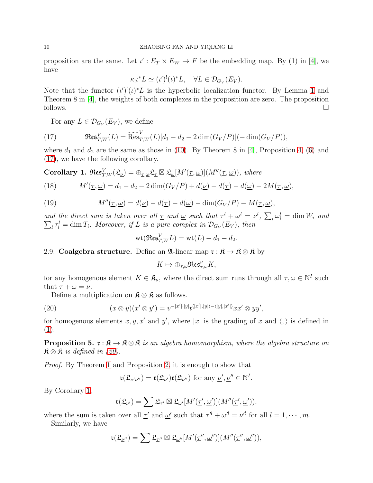#### 10 ZHAOBING FAN AND YIQIANG LI

proposition are the same. Let  $\iota' : E_T \times E_W \to F$  be the embedding map. By (1) in [\[4\]](#page-31-12), we have

$$
\kappa_! \iota^* L \simeq (\iota')^! (\iota)^* L, \quad \forall L \in \mathcal{D}_{G_V}(E_V).
$$

Note that the functor  $(\iota')^{\dagger}(\iota)^*L$  is the hyperbolic localization functor. By Lemma [1](#page-5-2) and Theorem 8 in [\[4\]](#page-31-12), the weights of both complexes in the proposition are zero. The proposition follows.  $\Box$ 

<span id="page-9-0"></span>For any  $L \in \mathcal{D}_{G_V}(E_V)$ , we define

(17) 
$$
\mathfrak{Res}^V_{T,W}(L) = \widetilde{\mathrm{Res}}^V_{T,W}(L)[d_1 - d_2 - 2\dim(G_V/P)](-\dim(G_V/P)),
$$

where  $d_1$  and  $d_2$  are the same as those in [\(10\)](#page-6-2). By Theorem 8 in [\[4\]](#page-31-12), Proposition [4,](#page-8-0) [\(6\)](#page-5-0) and [\(17\)](#page-9-0), we have the following corollary.

<span id="page-9-2"></span>Corollary 1.  $\mathfrak{Res}_{T,W}^V(\mathfrak{L}_\nu) = \bigoplus_{\underline{\tau},\underline{\omega}} \mathfrak{L}_\underline{\tau} \boxtimes \mathfrak{L}_\underline{\omega}[M'(\underline{\tau},\underline{\omega})](M''(\underline{\tau},\underline{\omega}))$ , where

<span id="page-9-3"></span>(18) 
$$
M'(\underline{\tau}, \underline{\omega}) = d_1 - d_2 - 2\dim(G_V/P) + d(\underline{\nu}) - d(\underline{\tau}) - d(\underline{\omega}) - 2M(\underline{\tau}, \underline{\omega}),
$$

(19) 
$$
M''(\underline{\tau}, \underline{\omega}) = d(\underline{\nu}) - d(\underline{\tau}) - d(\underline{\omega}) - \dim(G_V/P) - M(\underline{\tau}, \underline{\omega}),
$$

and the direct sum is taken over all  $\underline{\tau}$  and  $\underline{\omega}$  such that  $\tau^l + \omega^l = \nu^l$ ,  $\sum_l \omega_i^l = \dim W_i$  and  $\sum_l \tau_i^l = \dim T_i$ . Moreover, if L is a pure complex in  $\mathcal{D}_{G_V}(E_V)$ , then

<span id="page-9-4"></span>
$$
\text{wt}(\mathfrak{Res}^V_{T,W}L) = \text{wt}(L) + d_1 - d_2.
$$

2.9. Coalgebra structure. Define an  $\mathfrak{A}$ -linear map  $\mathfrak{r} : \mathfrak{K} \to \mathfrak{K} \otimes \mathfrak{K}$  by

$$
K\mapsto \oplus_{\tau,\omega}\mathfrak{Res}^\nu_{\tau,\omega}K,
$$

for any homogenous element  $K \in \mathfrak{K}_{\nu}$ , where the direct sum runs through all  $\tau, \omega \in \mathbb{N}^I$  such that  $\tau + \omega = \nu$ .

<span id="page-9-1"></span>Define a multiplication on  $\mathfrak{K} \otimes \mathfrak{K}$  as follows.

(20) 
$$
(x \otimes y)(x' \otimes y') = v^{-|x'|\cdot|y|}t^{\langle |x'|\cdot|y| \rangle - \langle |y|, |x'| \rangle}xx' \otimes yy',
$$

for homogenous elements  $x, y, x'$  and  $y'$ , where |x| is the grading of x and  $\langle, \rangle$  is defined in [\(1\)](#page-4-0).

**Proposition 5.**  $\mathfrak{r}: \mathfrak{K} \to \mathfrak{K} \otimes \mathfrak{K}$  is an algebra homomorphism, where the algebra structure on  $\mathfrak{K} \otimes \mathfrak{K}$  is defined in [\(20\)](#page-9-1).

Proof. By Theorem [1](#page-5-1) and Proposition 2, it is enough to show that

$$
\mathfrak{r}(\mathfrak{L}_{\underline{\nu}'\underline{\nu}''}) = \mathfrak{r}(\mathfrak{L}_{\underline{\nu}'})\mathfrak{r}(\mathfrak{L}_{\underline{\nu}''}) \text{ for any } \underline{\nu}', \underline{\nu}'' \in \mathbb{N}^I
$$

.

By Corollary [1,](#page-9-2)

$$
\mathfrak{r}(\mathfrak{L}_{\underline{\nu}'})=\sum \mathfrak{L}_{\underline{\tau}'}\boxtimes \mathfrak{L}_{\underline{\omega}'}[M'(\underline{\tau}',\underline{\omega}')](M''(\underline{\tau}',\underline{\omega}')),
$$

where the sum is taken over all  $\underline{\tau}'$  and  $\underline{\omega}'$  such that  $\tau'' + \omega'' = \nu''$  for all  $l = 1, \dots, m$ . Similarly, we have

$$
\mathfrak{r}(\mathfrak{L}_{\underline{\nu}''})=\sum \mathfrak{L}_{\underline{\tau}''}\boxtimes \mathfrak{L}_{\underline{\omega}''}[M'(\underline{\tau}'',\underline{\omega}'')](M''(\underline{\tau}'',\underline{\omega}'')),
$$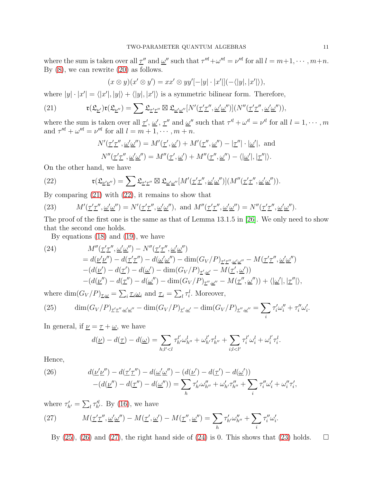where the sum is taken over all  $\underline{\tau}''$  and  $\underline{\omega}''$  such that  $\tau''' + \omega''' = \nu'''$  for all  $l = m+1, \cdots, m+n$ . By [\(8\)](#page-5-3), we can rewrite [\(20\)](#page-9-1) as follows.

<span id="page-10-0"></span>
$$
(x \otimes y)(x' \otimes y') = xx' \otimes yy'[-|y| \cdot |x'||(-\langle |y|, |x'| \rangle),
$$

where  $|y| \cdot |x'| = \langle |x'|, |y| \rangle + \langle |y|, |x'| \rangle$  is a symmetric bilinear form. Therefore,

(21) 
$$
\mathfrak{r}(\mathfrak{L}_{\underline{\nu}'})\mathfrak{r}(\mathfrak{L}_{\underline{\nu}''})=\sum \mathfrak{L}_{\underline{\tau}'\underline{\tau}''}\boxtimes \mathfrak{L}_{\underline{\omega}'\underline{\omega}''}[N'(\underline{\tau}'\underline{\tau}'',\underline{\omega}'\underline{\omega}'')](N''(\underline{\tau}'\underline{\tau}'',\underline{\omega}'\underline{\omega}')),
$$

where the sum is taken over all  $\underline{\tau}'$ ,  $\underline{\omega}'$ ,  $\underline{\tau}''$  and  $\underline{\omega}''$  such that  $\tau'' + \omega'' = \nu''$  for all  $l = 1, \cdots, m$ and  $\tau^{\prime\prime l} + \omega^{\prime\prime l} = \nu^{\prime\prime l}$  for all  $l = m + 1, \cdots, m + n$ .

<span id="page-10-1"></span>
$$
N'(\underline{\tau}'\underline{\tau}'', \underline{\omega}'\underline{\omega}'') = M'(\underline{\tau}', \underline{\omega}') + M'(\underline{\tau}'', \underline{\omega}'') - |\underline{\tau}''| \cdot |\underline{\omega}'|, \text{ and}
$$
  

$$
N''(\underline{\tau}'\underline{\tau}'', \underline{\omega}'\underline{\omega}'') = M''(\underline{\tau}', \underline{\omega}') + M''(\underline{\tau}'', \underline{\omega}'') - \langle |\underline{\omega}'|, |\underline{\tau}''| \rangle.
$$

On the other hand, we have

(22) 
$$
\mathfrak{r}(\mathfrak{L}_{\underline{\nu}'\underline{\nu}''}) = \sum \mathfrak{L}_{\underline{\tau}'\underline{\tau}''} \boxtimes \mathfrak{L}_{\underline{\omega}'\underline{\omega}''}[M'(\underline{\tau}'\underline{\tau}'', \underline{\omega}'\underline{\omega}'')](M''(\underline{\tau}'\underline{\tau}'', \underline{\omega}'\underline{\omega}')).
$$

By comparing [\(21\)](#page-10-0) with [\(22\)](#page-10-1), it remains to show that

<span id="page-10-6"></span>(23) 
$$
M'(\underline{\tau'}\underline{\tau''}, \underline{\omega'}\underline{\omega''}) = N'(\underline{\tau'}\underline{\tau''}, \underline{\omega'}\underline{\omega''}), \text{ and } M''(\underline{\tau'}\underline{\tau''}, \underline{\omega'}\underline{\omega''}) = N''(\underline{\tau'}\underline{\tau''}, \underline{\omega'}\underline{\omega''}).
$$

The proof of the first one is the same as that of Lemma 13.1.5 in [\[26\]](#page-32-0). We only need to show that the second one holds.

<span id="page-10-5"></span>By equations [\(18\)](#page-9-3) and [\(19\)](#page-9-4), we have

(24) 
$$
M''(\underline{\tau}'\underline{\tau}'', \underline{\omega}'\underline{\omega}'') - N''(\underline{\tau}'\underline{\tau}'', \underline{\omega}'\underline{\omega}'')
$$
  
\n
$$
= d(\underline{\nu}'\underline{\nu}'') - d(\underline{\tau}'\underline{\tau}'') - d(\underline{\omega}'\underline{\omega}'') - \dim(G_V/P)_{\underline{\tau}'\underline{\tau}'', \underline{\omega}'\underline{\omega}''} - M(\underline{\tau}'\underline{\tau}'', \underline{\omega}'\underline{\omega}'')
$$
  
\n
$$
- (d(\underline{\nu}') - d(\underline{\tau}') - d(\underline{\omega}') - \dim(G_V/P)_{\underline{\tau}', \underline{\omega}'} - M(\underline{\tau}', \underline{\omega}'))
$$
  
\n
$$
- (d(\underline{\nu}'') - d(\underline{\tau}'') - d(\underline{\omega}'') - \dim(G_V/P)_{\underline{\tau}'', \underline{\omega}''} - M(\underline{\tau}'', \underline{\omega}'')) + \langle |\underline{\omega}'|, |\underline{\tau}''| \rangle,
$$

where  $\dim(G_V/P)_{\underline{\tau},\underline{\omega}} = \sum_i \underline{\tau}_i \underline{\omega}_i$  and  $\underline{\tau}_i = \sum_l \tau_i^l$ . Moreover,

<span id="page-10-2"></span>(25) 
$$
\dim(G_V/P)_{\underline{\tau}'\underline{\tau}'',\underline{\omega}'\underline{\omega}''} - \dim(G_V/P)_{\underline{\tau}',\underline{\omega}'} - \dim(G_V/P)_{\underline{\tau}'',\underline{\omega}''} = \sum_i \tau'_i \omega''_i + \tau''_i \omega'_i.
$$

In general, if  $\nu = \tau + \omega$ , we have

$$
d(\underline{\nu}) - d(\underline{\tau}) - d(\underline{\omega}) = \sum_{h;l' < l} \tau_{h'}^{l'} \omega_{h''}^l + \omega_{h'}^{l'} \tau_{h''}^l + \sum_{i;l < l'} \tau_i^{l'} \omega_i^l + \omega_i^{l'} \tau_i^l.
$$

Hence,

<span id="page-10-3"></span>(26) 
$$
d(\underline{\nu'}\underline{\nu''}) - d(\underline{\tau'}\underline{\tau''}) - d(\underline{\omega'}\underline{\omega''}) - (d(\underline{\nu'}) - d(\underline{\tau'}) - d(\underline{\omega'})) - (d(\underline{\nu''}) - d(\underline{\tau''}) - d(\underline{\omega''})) = \sum_{h} \tau'_{h'} \omega''_{h''} + \omega'_{h'} \tau''_{h''} + \sum_{i} \tau''_{i} \omega'_{i} + \omega''_{i} \tau'_{i},
$$

where  $\tau'_{h'} = \sum_l \tau''_{h'}$ . By [\(16\)](#page-8-1), we have  $M(\underline{\tau}'\underline{\tau}'', \underline{\omega}'\underline{\omega}'') - M(\underline{\tau}', \underline{\omega}') - M(\underline{\tau}'', \underline{\omega}'') = \sum$ (27)  $M(\underline{\tau}'\underline{\tau}'', \underline{\omega}'\underline{\omega}'') - M(\underline{\tau}', \underline{\omega}') - M(\underline{\tau}'', \underline{\omega}'') = \sum \tau'_{h'}\omega''_{h''} + \sum \tau''_i\omega'_i.$ 

<span id="page-10-4"></span>By [\(25\)](#page-10-2), [\(26\)](#page-10-3) and [\(27\)](#page-10-4), the right hand side of [\(24\)](#page-10-5) is 0. This shows that [\(23\)](#page-10-6) holds.  $\square$ 

h

 $\tau'_{h'}\omega''_{h''} + \sum$ 

i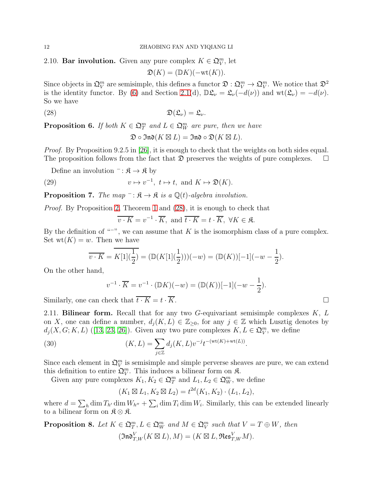2.10. Bar involution. Given any pure complex  $K \in \mathfrak{Q}_{V}^{m}$ , let

<span id="page-11-0"></span>
$$
\mathfrak{D}(K) = (\mathbb{D}K)(-\mathrm{wt}(K)).
$$

Since objects in  $\mathfrak{Q}_V^m$  are semisimple, this defines a functor  $\mathfrak{D} : \mathfrak{Q}_V^m \to \mathfrak{Q}_V^m$ . We notice that  $\mathfrak{D}^2$ is the identity functor. By [\(6\)](#page-5-0) and Section [2.1\(](#page-3-1)d),  $\mathbb{D}\mathfrak{L}_{\nu} = \mathfrak{L}_{\nu}(-d(\nu))$  and  $\text{wt}(\mathfrak{L}_{\nu}) = -d(\nu)$ . So we have

$$
(28) \t\t\t\t\mathfrak{D}(\mathfrak{L}_{\nu}) = \mathfrak{L}_{\nu}.
$$

**Proposition 6.** If both  $K \in \mathfrak{Q}_T^m$  and  $L \in \mathfrak{Q}_W^m$  are pure, then we have

 $\mathfrak{D} \circ \mathfrak{Ind}(K \boxtimes L) = \mathfrak{Ind} \circ \mathfrak{D}(K \boxtimes L).$ 

*Proof.* By Proposition 9.2.5 in [\[26\]](#page-32-0), it is enough to check that the weights on both sides equal. The proposition follows from the fact that  $\mathfrak D$  preserves the weights of pure complexes.  $\Box$ 

Define an involution  $\bar{\mathcal{B}} \to \mathfrak{K}$  by

(29) 
$$
v \mapsto v^{-1}, t \mapsto t, \text{ and } K \mapsto \mathfrak{D}(K).
$$

**Proposition 7.** The map  $\bar{B}$ :  $\hat{\mathcal{R}} \to \hat{\mathcal{R}}$  is a  $\mathbb{Q}(t)$ -algebra involution.

Proof. By Proposition 2, Theorem [1](#page-5-1) and [\(28\)](#page-11-0), it is enough to check that

<span id="page-11-2"></span>
$$
\overline{v \cdot K} = v^{-1} \cdot \overline{K}
$$
, and  $\overline{t \cdot K} = t \cdot \overline{K}$ ,  $\forall K \in \mathfrak{K}$ .

By the definition of "<sup>−"</sup>, we can assume that K is the isomorphism class of a pure complex. Set  $wt(K) = w$ . Then we have

$$
\overline{v \cdot K} = \overline{K[1](\frac{1}{2})} = (\mathbb{D}(K[1](\frac{1}{2})))(-w) = (\mathbb{D}(K))[-1](-w - \frac{1}{2}).
$$

On the other hand,

$$
v^{-1} \cdot \overline{K} = v^{-1} \cdot (\mathbb{D}K)(-w) = (\mathbb{D}(K))[-1](-w - \frac{1}{2}).
$$

<span id="page-11-1"></span>Similarly, one can check that  $\overline{t \cdot K} = t \cdot \overline{K}$ .

2.11. Bilinear form. Recall that for any two G-equivariant semisimple complexes  $K, L$ on X, one can define a number,  $d_i(K, L) \in \mathbb{Z}_{\geq 0}$ , for any  $j \in \mathbb{Z}$  which Lusztig denotes by  $d_j(X, G; K, L)$  ([\[13,](#page-32-13) [23,](#page-32-14) [26\]](#page-32-0)). Given any two pure complexes  $K, L \in \mathfrak{Q}_V^m$ , we define

(30) 
$$
(K, L) = \sum_{j \in \mathbb{Z}} d_j(K, L) v^{-j} t^{-(\text{wt}(K) + \text{wt}(L))}.
$$

Since each element in  $\mathfrak{Q}_V^m$  is semisimple and simple perverse sheaves are pure, we can extend this definition to entire  $\mathfrak{Q}_{V}^{m}$ . This induces a bilinear form on  $\mathfrak{K}$ .

Given any pure complexes  $K_1, K_2 \in \mathfrak{Q}_T^m$  and  $L_1, L_2 \in \mathfrak{Q}_W^m$ , we define

$$
(K_1 \boxtimes L_1, K_2 \boxtimes L_2) = t^{2d}(K_1, K_2) \cdot (L_1, L_2),
$$

where  $d = \sum_h \dim T_{h'} \dim W_{h''} + \sum_i \dim T_i \dim W_i$ . Similarly, this can be extended linearly to a bilinear form on  $\mathfrak{K} \otimes \mathfrak{K}$ .

**Proposition 8.** Let 
$$
K \in \mathfrak{Q}_T^m
$$
,  $L \in \mathfrak{Q}_W^m$  and  $M \in \mathfrak{Q}_V^m$  such that  $V = T \oplus W$ , then  
\n
$$
(\mathfrak{Ind}_{T,W}^V(K \boxtimes L), M) = (K \boxtimes L, \mathfrak{Res}_{T,W}^V M).
$$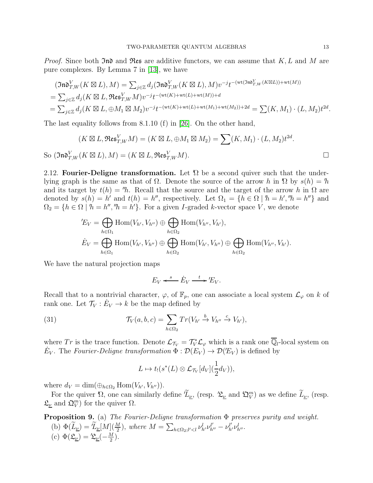*Proof.* Since both  $\mathfrak{Ind}$  and  $\mathfrak{Res}$  are additive functors, we can assume that  $K, L$  and  $M$  are pure complexes. By Lemma 7 in [\[13\]](#page-32-13), we have

$$
(\mathfrak{Ind}_{T,W}^V(K \boxtimes L), M) = \sum_{j \in \mathbb{Z}} d_j(\mathfrak{Ind}_{T,W}^V(K \boxtimes L), M) v^{-j} t^{-(\text{wt}(\mathfrak{Ind}_{T,W}^V(K \boxtimes L)) + \text{wt}(M))}
$$
  
= 
$$
\sum_{j \in \mathbb{Z}} d_j(K \boxtimes L, \mathfrak{Res}_{T,W}^V M) v^{-j} t^{-(\text{wt}(K) + \text{wt}(L) + \text{wt}(M)) + d}
$$
  
= 
$$
\sum_{j \in \mathbb{Z}} d_j(K \boxtimes L, \oplus M_1 \boxtimes M_2) v^{-j} t^{-(\text{wt}(K) + \text{wt}(L) + \text{wt}(M_1) + \text{wt}(M_2)) + 2d} = \sum (K, M_1) \cdot (L, M_2) t^{2d}.
$$

The last equality follows from 8.1.10 (f) in [\[26\]](#page-32-0). On the other hand,

$$
(K \boxtimes L, \mathfrak{Res}^V_{T,W} M) = (K \boxtimes L, \oplus M_1 \boxtimes M_2) = \sum (K, M_1) \cdot (L, M_2) t^{2d}.
$$
  
So 
$$
(\mathfrak{Ind}_{T,W}^V (K \boxtimes L), M) = (K \boxtimes L, \mathfrak{Res}^V_{T,W} M).
$$

2.12. Fourier-Deligne transformation. Let  $\Omega$  be a second quiver such that the underlying graph is the same as that of  $\Omega$ . Denote the source of the arrow h in  $\Omega$  by  $s(h) = h$ and its target by  $t(h) = h$ . Recall that the source and the target of the arrow h in  $\Omega$  are denoted by  $s(h) = h'$  and  $t(h) = h''$ , respectively. Let  $\Omega_1 = \{h \in \Omega \mid h = h', "h = h''\}$  and  $\Omega_2 = \{h \in \Omega \mid h = h'', 'h = h'\}.$  For a given *I*-graded k-vector space *V*, we denote

$$
{}^{'}\!E_V = \bigoplus_{h \in \Omega_1} \text{Hom}(V_{h'}, V_{h''}) \oplus \bigoplus_{h \in \Omega_2} \text{Hom}(V_{h''}, V_{h'}),
$$
  

$$
\dot{E}_V = \bigoplus_{h \in \Omega_1} \text{Hom}(V_{h'}, V_{h''}) \oplus \bigoplus_{h \in \Omega_2} \text{Hom}(V_{h'}, V_{h''}) \oplus \bigoplus_{h \in \Omega_2} \text{Hom}(V_{h''}, V_{h'}).
$$

We have the natural projection maps

$$
E_V \xleftarrow{s} \dot{E}_V \xrightarrow{t} 'E_V.
$$

Recall that to a nontrivial character,  $\varphi$ , of  $\mathbb{F}_p$ , one can associate a local system  $\mathcal{L}_{\varphi}$  on k of rank one. Let  $\mathcal{T}_V : \dot{E}_V \to k$  be the map defined by

(31) 
$$
\mathcal{T}_V(a,b,c) = \sum_{h \in \Omega_2} Tr(V_{h'} \xrightarrow{b} V_{h''} \xrightarrow{c} V_{h'}),
$$

where Tr is the trace function. Denote  $\mathcal{L}_{\mathcal{T}_V} = \mathcal{T}_V^* \mathcal{L}_{\varphi}$  which is a rank one  $\overline{\mathbb{Q}}_l$ -local system on  $\dot{E}_V$ . The Fourier-Deligne transformation  $\Phi : \mathcal{D}(E_V) \to \mathcal{D}(E_V)$  is defined by

$$
L \mapsto t_!(s^*(L) \otimes \mathcal{L}_{\mathcal{T}_V}[d_V](\frac{1}{2}d_V)),
$$

where  $d_V = \dim(\bigoplus_{h \in \Omega_2} \text{Hom}(V_{h'}, V_{h''})).$ 

For the quiver  $\Omega$ , one can similarly define  $\overline{L}_{\underline{\nu}}$ , (resp.  $\mathfrak{L}_{\underline{\nu}}$  and  $\mathfrak{D}_{V}^{m}$ ) as we define  $\overline{L}_{\underline{\nu}}$ , (resp.  $\mathfrak{L}_{\underline{\nu}}$  and  $\mathfrak{Q}_{V}^{m}$ ) for the quiver  $\Omega$ .

<span id="page-12-0"></span>Proposition 9. (a) The Fourier-Deligne transformation Φ preserves purity and weight. (b)  $\Phi(\widetilde{L}_{\underline{\nu}}) = \widetilde{\mathcal{L}}_{\underline{\nu}}[M](\frac{M}{2}),$  where  $M = \sum_{h \in \Omega_2; l' < l} \nu_{h'}^l \nu_{h''}^{l'} - \nu_{h'}^{l'} \nu_{h''}^l$ . (c)  $\Phi(\mathfrak{L}_v) = \mathfrak{L}_v(-\frac{M}{2})$  $\frac{M}{2}$ ).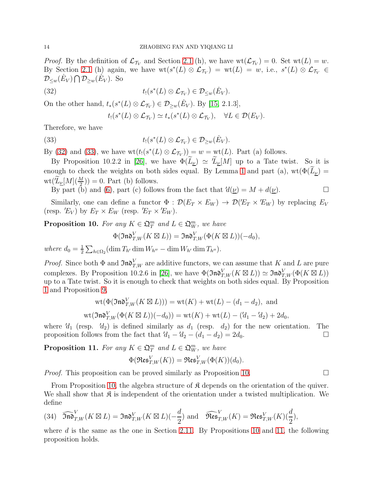*Proof.* By the definition of  $\mathcal{L}_{\mathcal{T}_V}$  and Section [2.1](#page-3-1) (h), we have  $\text{wt}(\mathcal{L}_{\mathcal{T}_V}) = 0$ . Set  $\text{wt}(L) = w$ . By Section [2.1](#page-3-1) (h) again, we have  $\operatorname{wt}(s^*(L) \otimes \mathcal{L}_{\mathcal{T}_V}) = \operatorname{wt}(L) = w$ , i.e.,  $s^*(L) \otimes \mathcal{L}_{\mathcal{T}_V} \in$  $\mathcal{D}_{\leq w}(\dot{E}_V) \bigcap \mathcal{D}_{\geq w}(\dot{E}_V)$ . So

(32) 
$$
t_!(s^*(L) \otimes \mathcal{L}_{\mathcal{T}_V}) \in \mathcal{D}_{\leq w}(\dot{E}_V).
$$

On the other hand,  $t_*(s^*(L) \otimes \mathcal{L}_{\mathcal{T}_V}) \in \mathcal{D}_{\geq w}(\dot{E}_V)$ . By [\[15,](#page-32-15) 2.1.3],

<span id="page-13-1"></span><span id="page-13-0"></span>
$$
t_!(s^*(L)\otimes \mathcal{L}_{\mathcal{T}_V})\simeq t_*(s^*(L)\otimes \mathcal{L}_{\mathcal{T}_V}),\quad \forall L\in \mathcal{D}(E_V).
$$

Therefore, we have

(33) 
$$
t_!(s^*(L) \otimes \mathcal{L}_{\mathcal{T}_V}) \in \mathcal{D}_{\geq w}(\dot{E}_V).
$$

By [\(32\)](#page-13-0) and [\(33\)](#page-13-1), we have  $\text{wt}(t_1(s^*(L) \otimes \mathcal{L}_{\mathcal{T}_V})) = w = \text{wt}(L)$ . Part (a) follows.

By Proposition 10.2.2 in [\[26\]](#page-32-0), we have  $\Phi(\tilde{L}_{\nu}) \simeq \tilde{L}_{\nu}[M]$  up to a Tate twist. So it is enough to check the weights on both sides equal. By Lemma [1](#page-5-2) and part (a),  $wt(\Phi(\tilde{L}_{\nu}) =$  $\text{wt}(\tilde{\mathcal{L}}_{\underline{\nu}}[M](\frac{M}{2})) = 0.$  Part (b) follows.

By part (b) and [\(6\)](#page-5-0), part (c) follows from the fact that  $'d(\underline{\nu}) = M + d(\underline{\nu})$ .

Similarly, one can define a functor  $\Phi : \mathcal{D}(E_T \times E_W) \to \mathcal{D}(E_T \times E_W)$  by replacing  $E_V$ (resp.  $'E_V$ ) by  $E_T \times E_W$  (resp.  $'E_T \times E_W$ ).

<span id="page-13-2"></span>**Proposition 10.** For any  $K \in \mathfrak{Q}_T^m$  and  $L \in \mathfrak{Q}_W^m$ , we have

$$
\Phi(\mathfrak{Ind}_{T,W}^V(K\boxtimes L))=\mathfrak{Ind}_{T,W}^V(\Phi(K\boxtimes L))(-d_0),
$$

where  $d_0 = \frac{1}{2}$  $\frac{1}{2} \sum_{h \in \Omega_2} (\dim T_{h'} \dim W_{h''} - \dim W_{h'} \dim T_{h''}).$ 

*Proof.* Since both  $\Phi$  and  $\mathfrak{Ind}_{T,W}^V$  are additive functors, we can assume that K and L are pure complexes. By Proposition 10.2.6 in [\[26\]](#page-32-0), we have  $\Phi(\mathfrak{Ind}_{T,W}^V(K \boxtimes L)) \simeq \mathfrak{Ind}_{T,W}^V(\Phi(K \boxtimes L))$ up to a Tate twist. So it is enough to check that weights on both sides equal. By Proposition [1](#page-6-1) and Proposition [9,](#page-12-0)

$$
\operatorname{wt}(\Phi(\mathfrak{Ind}_{T,W}^V(K \boxtimes L))) = \operatorname{wt}(K) + \operatorname{wt}(L) - (d_1 - d_2), \text{ and}
$$
  

$$
\operatorname{wt}(\mathfrak{Ind}_{T,W}^V(\Phi(K \boxtimes L))(-d_0)) = \operatorname{wt}(K) + \operatorname{wt}(L) - (d_1 - d_2) + 2d_0,
$$

where  $d_1$  (resp.  $d_2$ ) is defined similarly as  $d_1$  (resp.  $d_2$ ) for the new orientation. The proposition follows from the fact that  $'d_1 -'d_2 - (d_1 - d_2) = 2d_0$ .

<span id="page-13-3"></span>**Proposition 11.** For any  $K \in \mathfrak{Q}_T^m$  and  $L \in \mathfrak{Q}_W^m$ , we have

$$
\Phi(\mathfrak{Res}^V_{T,W}(K))=\mathfrak{Res}^V_{T,W}(\Phi(K))(d_0).
$$

*Proof.* This proposition can be proved similarly as Proposition [10.](#page-13-2)

From Proposition [10,](#page-13-2) the algebra structure of  $\mathfrak K$  depends on the orientation of the quiver. We shall show that  $\mathfrak K$  is independent of the orientation under a twisted multiplication. We define

(34) 
$$
\widehat{\mathfrak{Ind}}_{T,W}^{V}(K \boxtimes L) = \mathfrak{Ind}_{T,W}^{V}(K \boxtimes L)(-\frac{d}{2}) \text{ and } \widehat{\mathfrak{Res}}_{T,W}^{V}(K) = \mathfrak{Res}_{T,W}^{V}(K)(\frac{d}{2}),
$$

where  $d$  is the same as the one in Section [2.11.](#page-11-1) By Propositions [10](#page-13-2) and [11,](#page-13-3) the following proposition holds.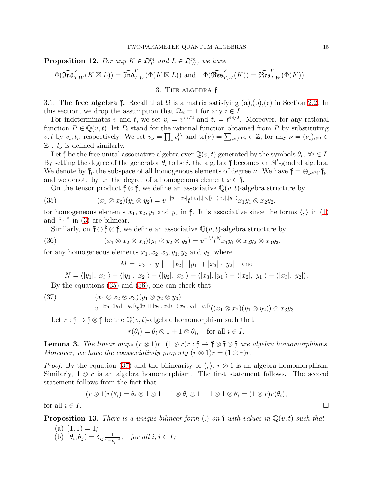**Proposition 12.** For any  $K \in \mathfrak{Q}_T^m$  and  $L \in \mathfrak{Q}_W^m$ , we have

<span id="page-14-0"></span>
$$
\Phi(\widehat{\mathfrak{Ind}}_{T,W}^V(K\boxtimes L)) = \widehat{\mathfrak{Ind}}_{T,W}^V(\Phi(K\boxtimes L)) \text{ and } \Phi(\widehat{\mathfrak{Res}}_{T,W}^V(K)) = \widehat{\mathfrak{Res}}_{T,W}^V(\Phi(K)).
$$

# 3. The algebra f

<span id="page-14-6"></span>3.1. The free algebra  $\mathfrak f$ . Recall that  $\Omega$  is a matrix satisfying  $(a), (b), (c)$  in Section [2.2.](#page-4-1) In this section, we drop the assumption that  $\Omega_{ii} = 1$  for any  $i \in I$ .

For indeterminates v and t, we set  $v_i = v^{i \cdot i/2}$  and  $t_i = t^{i \cdot i/2}$ . Moreover, for any rational function  $P \in \mathbb{Q}(v, t)$ , let  $P_i$  stand for the rational function obtained from P by substituting  $v, t$  by  $v_i, t_i$ , respectively. We set  $v_\nu = \prod_i v_i^{\nu_i}$  and  $tr(\nu) = \sum_{i \in I} \nu_i \in \mathbb{Z}$ , for any  $\nu = (\nu_i)_{i \in I} \in$  $\mathbb{Z}^I$ .  $t_{\nu}$  is defined similarly.

Let  $\mathfrak f$  be the free unital associative algebra over  $\mathbb Q(v,t)$  generated by the symbols  $\theta_i, \forall i \in I$ . By setting the degree of the generator  $\theta_i$  to be i, the algebra  $\mathfrak f$  becomes an  $\mathbb N^I$ -graded algebra. We denote by  $\mathfrak{f}_{\nu}$  the subspace of all homogenous elements of degree  $\nu$ . We have  $\mathfrak{f} = \bigoplus_{\nu \in \mathbb{N}^I} \mathfrak{f}_{\nu}$ , and we denote by |x| the degree of a homogenous element  $x \in \mathfrak{f}$ .

<span id="page-14-1"></span>On the tensor product  $\mathfrak{f} \otimes \mathfrak{f}$ , we define an associative  $\mathbb{Q}(v, t)$ -algebra structure by

(35) 
$$
(x_1 \otimes x_2)(y_1 \otimes y_2) = v^{-|y_1| \cdot |x_2|} t^{\langle |y_1|, |x_2| \rangle - \langle |x_2|, |y_1| \rangle} x_1 y_1 \otimes x_2 y_2,
$$

for homogeneous elements  $x_1, x_2, y_1$  and  $y_2$  in  $f$ . It is associative since the forms  $\langle, \rangle$  in [\(1\)](#page-4-0) and " $\cdot$ " in [\(3\)](#page-4-0) are bilinear.

Similarly, on  $\mathfrak{f} \otimes \mathfrak{f} \otimes \mathfrak{f}$ , we define an associative  $\mathbb{Q}(v, t)$ -algebra structure by

(36) 
$$
(x_1 \otimes x_2 \otimes x_3)(y_1 \otimes y_2 \otimes y_3) = v^{-M}t^{N}x_1y_1 \otimes x_2y_2 \otimes x_3y_3,
$$

for any homogeneous elements  $x_1, x_2, x_3, y_1, y_2$  and  $y_3$ , where

<span id="page-14-2"></span>
$$
M = |x_3| \cdot |y_1| + |x_2| \cdot |y_1| + |x_3| \cdot |y_2|
$$
 and

<span id="page-14-3"></span>
$$
N = \langle |y_1|, |x_3| \rangle + \langle |y_1|, |x_2| \rangle + \langle |y_2|, |x_3| \rangle - \langle |x_3|, |y_1| \rangle - \langle |x_2|, |y_1| \rangle - \langle |x_3|, |y_2| \rangle.
$$

By the equations [\(35\)](#page-14-1) and [\(36\)](#page-14-2), one can check that

(37) 
$$
(x_1 \otimes x_2 \otimes x_3)(y_1 \otimes y_2 \otimes y_3) = v^{-|x_3| \cdot (|y_1| + |y_2|)} t^{\langle |y_1| + |y_2|, |x_3| \rangle - \langle |x_3|, |y_1| + |y_2| \rangle} ((x_1 \otimes x_2)(y_1 \otimes y_2)) \otimes x_3 y_3.
$$

Let  $r: \mathfrak{f} \to \mathfrak{f} \otimes \mathfrak{f}$  be the  $\mathbb{Q}(v, t)$ -algebra homomorphism such that

$$
r(\theta_i) = \theta_i \otimes 1 + 1 \otimes \theta_i
$$
, for all  $i \in I$ .

<span id="page-14-4"></span>**Lemma 3.** The linear maps  $(r \otimes 1)r$ ,  $(1 \otimes r)r$ :  $\mathfrak{f} \to \mathfrak{f} \otimes \mathfrak{f}$  are algebra homomorphisms. Moreover, we have the coassociativity property  $(r \otimes 1)r = (1 \otimes r)r$ .

*Proof.* By the equation [\(37\)](#page-14-3) and the bilinearity of  $\langle, \rangle$ ,  $r \otimes 1$  is an algebra homomorphism. Similarly,  $1 \otimes r$  is an algebra homomorphism. The first statement follows. The second statement follows from the fact that

$$
(r \otimes 1)r(\theta_i) = \theta_i \otimes 1 \otimes 1 + 1 \otimes \theta_i \otimes 1 + 1 \otimes 1 \otimes \theta_i = (1 \otimes r)r(\theta_i),
$$

for all  $i \in I$ .

<span id="page-14-5"></span>**Proposition 13.** There is a unique bilinear form  $\lambda$ , on  $\mathfrak{f}$  with values in  $\mathbb{Q}(v,t)$  such that

 $(a)$   $(1, 1) = 1;$ (b)  $(\theta_i, \theta_j) = \delta_{ij} \frac{1}{1 - i}$  $\frac{1}{1-v_i^{-2}}$ , for all  $i, j \in I$ ;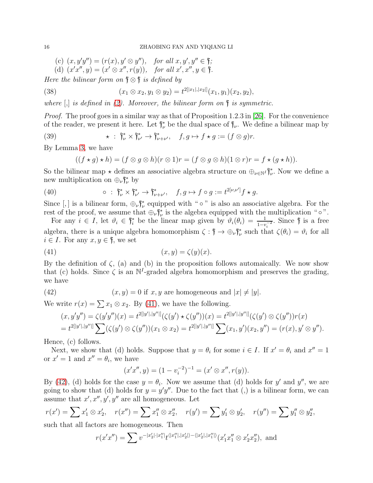<span id="page-15-2"></span>(c)  $(x, y'y'') = (r(x), y' \otimes y'')$ , for all  $x, y', y'' \in \mathfrak{f}$ ; (d)  $(x'x'', y) = (x' \otimes x'', r(y)),$  for all  $x', x'', y \in \mathfrak{f}.$ 

Here the bilinear form on  $\mathfrak{f} \otimes \mathfrak{f}$  is defined by

(38) 
$$
(x_1 \otimes x_2, y_1 \otimes y_2) = t^{2[|x_1|, |x_2|]}(x_1, y_1)(x_2, y_2),
$$

where  $\left[\right]$  is defined in [\(2\)](#page-4-0). Moreover, the bilinear form on  $\mathfrak f$  is symmetric.

*Proof.* The proof goes in a similar way as that of Proposition 1.2.3 in [\[26\]](#page-32-0). For the convenience of the reader, we present it here. Let  $\mathfrak{f}_{\nu}^*$  be the dual space of  $\mathfrak{f}_{\nu}$ . We define a bilinear map by

(39) 
$$
\star : \mathfrak{f}_{\nu}^* \times \mathfrak{f}_{\nu'}^* \to \mathfrak{f}_{\nu+\nu'}^*, \quad f, g \mapsto f \star g := (f \otimes g)r.
$$

By Lemma [3,](#page-14-4) we have

$$
((f \star g) \star h) = (f \otimes g \otimes h)(r \otimes 1)r = (f \otimes g \otimes h)(1 \otimes r)r = f \star (g \star h)).
$$

So the bilinear map  $\star$  defines an associative algebra structure on  $\oplus_{\nu \in \mathbb{N}'} \mathfrak{f}_{\nu}^*$ . Now we define a new multiplication on  $\bigoplus_{\nu} \mathfrak{f}_{\nu}^*$  by

(40) 
$$
\circ : \mathfrak{f}_\nu^* \times \mathfrak{f}_{\nu'}^* \to \mathfrak{f}_{\nu+\nu'}^*, \quad f, g \mapsto f \circ g := t^{2[\nu,\nu']}f \star g.
$$

Since  $[,]$  is a bilinear form,  $\bigoplus_{\nu} \mathfrak{f}_{\nu}^*$  equipped with " $\circ$ " is also an associative algebra. For the rest of the proof, we assume that  $\bigoplus_{\nu} \mathfrak{f}_{\nu}^*$  is the algebra equipped with the multiplication " $\circ$ ".

For any  $i \in I$ , let  $\vartheta_i \in \mathfrak{f}_i^*$  be the linear map given by  $\vartheta_i(\theta_i) = \frac{1}{1 - v_i^{-2}}$ . Since  $\mathfrak{f}$  is a free algebra, there is a unique algebra homomorphism  $\zeta : \mathfrak{f} \to \bigoplus_{\nu} \mathfrak{f}_{\nu}^*$  such that  $\zeta(\theta_i) = \vartheta_i$  for all  $i \in I$ . For any  $x, y \in \mathfrak{f}$ , we set

<span id="page-15-0"></span>(41) (x, y) = ζ(y)(x).

By the definition of  $\zeta$ , (a) and (b) in the proposition follows automaically. We now show that (c) holds. Since  $\zeta$  is an N<sup>I</sup>-graded algebra homomorphism and preserves the grading, we have

(42) 
$$
(x, y) = 0 \text{ if } x, y \text{ are homogeneous and } |x| \neq |y|.
$$

We write  $r(x) = \sum x_1 \otimes x_2$ . By [\(41\)](#page-15-0), we have the following.

<span id="page-15-1"></span>
$$
(x, y'y'') = \zeta(y'y'')(x) = t^{2[|y'|, |y''|]}(\zeta(y') \star \zeta(y''))(x) = t^{2[|y'|, |y''|]}(\zeta(y') \otimes \zeta(y''))r(x)
$$
  
= 
$$
t^{2[|y'|, |y''|]} \sum (\zeta(y') \otimes \zeta(y''))(x_1 \otimes x_2) = t^{2[|y'|, |y''|]} \sum (x_1, y')(x_2, y'') = (r(x), y' \otimes y'').
$$

Hence, (c) follows.

Next, we show that (d) holds. Suppose that  $y = \theta_i$  for some  $i \in I$ . If  $x' = \theta_i$  and  $x'' = 1$ or  $x' = 1$  and  $x'' = \theta_i$ , we have

$$
(x'x'', y) = (1 - v_i^{-2})^{-1} = (x' \otimes x'', r(y)).
$$

By [\(42\)](#page-15-1), (d) holds for the case  $y = \theta_i$ . Now we assume that (d) holds for y' and y'', we are going to show that (d) holds for  $y = y'y''$ . Due to the fact that (,) is a bilinear form, we can assume that  $x', x'', y', y''$  are all homogeneous. Let

$$
r(x') = \sum x'_1 \otimes x'_2, \quad r(x'') = \sum x''_1 \otimes x''_2, \quad r(y') = \sum y'_1 \otimes y'_2, \quad r(y'') = \sum y''_1 \otimes y''_2,
$$
  
such that all factors are homogeneous. Then

such that all factors are homogeneous. Then

$$
r(x'x'') = \sum v^{-|x_2'|\cdot|x_1''|} t^{\langle |x_1''|, |x_2'| \rangle - \langle |x_2'|, |x_1''| \rangle} (x_1'x_1'' \otimes x_2'x_2''), \text{ and}
$$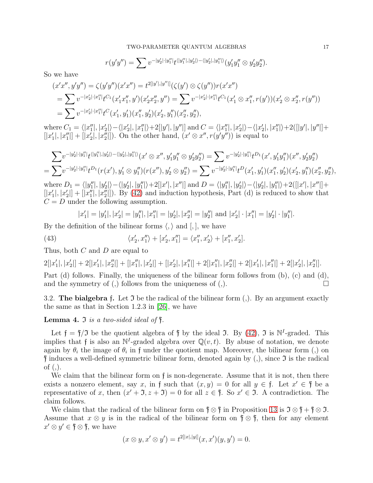$$
r(y'y'') = \sum v^{-|y_2'| \cdot |y_1''|} t^{\langle |y_1''|, |y_2'| \rangle - \langle |y_2'|, |y_1''| \rangle} (y_1'y_1'' \otimes y_2'y_2'').
$$

So we have

$$
(x'x'', y'y'') = \zeta(y'y'')(x'x'') = t^{2[|y'|,|y''|]}(\zeta(y') \otimes \zeta(y''))r(x'x'')
$$
  
= 
$$
\sum v^{-|x'_2| \cdot |x''_1|} t^{C_1} (x'_1x''_1, y')(x'_2x''_2, y'') = \sum v^{-|x'_2| \cdot |x''_1|} t^{C_1} (x'_1 \otimes x''_1, r(y')) (x'_2 \otimes x''_2, r(y''))
$$
  
= 
$$
\sum v^{-|x'_2| \cdot |x''_1|} t^{C} (x'_1, y'_1) (x''_1, y'_2) (x'_2, y''_1) (x''_2, y''_2),
$$

where  $C_1 = \langle |x_1''|, |x_2'| \rangle - \langle |x_2'|, |x_1''| \rangle + 2[|y'|, |y''|]$  and  $C = \langle |x_1''|, |x_2'| \rangle - \langle |x_2'|, |x_1''| \rangle + 2([|y'|, |y''|] +$  $[|x'_1|, |x''_1|] + [|x'_2|, |x''_2|]$ . On the other hand,  $(x' \otimes x'', r(y'y''))$  is equal to

$$
\sum v^{-|y_2'| \cdot |y_1''|} t^{\langle |y_1''|, |y_2'| \rangle - \langle |y_2'|, |y_1''| \rangle}(x' \otimes x'', y_1'y_1'' \otimes y_2'y_2'') = \sum v^{-|y_2'| \cdot |y_1''|} t^{D_1}(x', y_1'y_1'') (x'', y_2'y_2'') \n= \sum v^{-|y_2'| \cdot |y_1''|} t^{D_1}(r(x'), y_1' \otimes y_1'') (r(x''), y_2' \otimes y_2'') = \sum v^{-|y_2'| \cdot |y_1''|} t^{D}(x_1', y_1') (x_1'', y_2') (x_2', y_1'') (x_2'', y_2''),
$$
\nwhere  $D_1 = \langle |y_1''|, |y_2'| \rangle - \langle |y_2'|, |y_1''| \rangle + 2[|x'|, |x''|]$  and  $D = \langle |y_1''|, |y_2'| \rangle - \langle |y_2'|, |y_1''| \rangle + 2([|x'|, |x''|] + 2[|x'|, |x''|] + 2[|x'|, |x''|] + 2[|x'|, |x''|] + 2[|x'|, |x''|] + 2[|x'|, |x''|] + 2[|x'|, |x''|] + 2[|x'|, |x''|] + 2[|x'|, |x''|] + 2[|x'|, |x''|] + 2[|x'|, |x''|] + 2[|x'|, |x''|] + 2[|x'|, |x''|] + 2[|x'|, |x''|] + 2[|x'|, |x''|] + 2[|x'|, |x''|] + 2[|x'|, |x''|] + 2[|x'|, |x''|] + 2[|x'|, |x''|] + 2[|x'|, |x''|] + 2[|x'|, |x''|] + 2[|x'|, |x''|] + 2[|x'|, |x''|] + 2[|x'|, |x''|] + 2[|x'|, |x''|] + 2[|x'|, |x''|] + 2[|x'|, |x''|] + 2[|x'|, |x''|] + 2[|x'|, |x''|] + 2[|x'|, |x''|] + 2[|x'|, |x''|] + 2[|x'|, |x''|] +$ 

 $[|x'_1|, |x'_2|] + [|x''_1|, |x''_2|]$ . By [\(42\)](#page-15-1) and induction hypothesis, Part (d) is reduced to show that  $C = D$  under the following assumption.

<span id="page-16-1"></span>
$$
|x'_1| = |y'_1|, |x'_2| = |y''_1|, |x''_1| = |y'_2|, |x''_2| = |y''_2|
$$
 and  $|x'_2| \cdot |x''_1| = |y'_2| \cdot |y''_1|$ .

By the definition of the bilinear forms  $\langle, \rangle$  and  $\langle, \rangle$ , we have

(43) 
$$
\langle x_2', x_1'' \rangle + [x_2', x_1''] = \langle x_1'', x_2' \rangle + [x_1'', x_2'].
$$

Thus, both C and D are equal to

 $2[|x'_1|, |x'_2|] + 2[|x'_1|, |x''_2|] + [|x''_1|, |x'_2|] + [|x'_2|, |x''_1|] + 2[|x''_1|, |x''_2|] + 2[|x'_1|, |x''_1|] + 2[|x'_2|, |x''_2|].$ 

Part (d) follows. Finally, the uniqueness of the bilinear form follows from (b), (c) and (d), and the symmetry of  $($ ,  $)$  follows from the uniqueness of  $($ , $).$ 

<span id="page-16-0"></span>3.2. The bialgebra f. Let  $\mathfrak I$  be the radical of the bilinear form (,). By an argument exactly the same as that in Section 1.2.3 in [\[26\]](#page-32-0), we have

**Lemma 4.**  $\Im$  is a two-sided ideal of  $\mathfrak{f}$ .

Let  $\mathfrak{f} = \mathfrak{f}/\mathfrak{I}$  be the quotient algebra of  $\mathfrak{f}$  by the ideal  $\mathfrak{I}$ . By [\(42\)](#page-15-1),  $\mathfrak{I}$  is  $\mathbb{N}^I$ -graded. This implies that f is also an  $\mathbb{N}^I$ -graded algebra over  $\mathbb{Q}(v,t)$ . By abuse of notation, we denote again by  $\theta_i$  the image of  $\theta_i$  in f under the quotient map. Moreover, the bilinear form (,) on  $\dagger$  induces a well-defined symmetric bilinear form, denoted again by (,), since  $\Im$  is the radical of  $($ , $).$ 

We claim that the bilinear form on f is non-degenerate. Assume that it is not, then there exists a nonzero element, say x, in f such that  $(x, y) = 0$  for all  $y \in \mathfrak{f}$ . Let  $x' \in \mathfrak{f}$  be a representative of x, then  $(x' + 3, z + 3) = 0$  for all  $z \in \mathfrak{f}$ . So  $x' \in \mathfrak{I}$ . A contradiction. The claim follows.

We claim that the radical of the bilinear form on  $\mathfrak{f} \otimes \mathfrak{f}$  in Proposition [13](#page-14-5) is  $\mathfrak{I} \otimes \mathfrak{f} + \mathfrak{f} \otimes \mathfrak{I}$ . Assume that  $x \otimes y$  is in the radical of the bilinear form on  $\mathfrak{f} \otimes \mathfrak{f}$ , then for any element  $x' \otimes y' \in \mathfrak{f} \otimes \mathfrak{f}$ , we have

$$
(x \otimes y, x' \otimes y') = t^{2[|x|,|y|]}(x, x')(y, y') = 0.
$$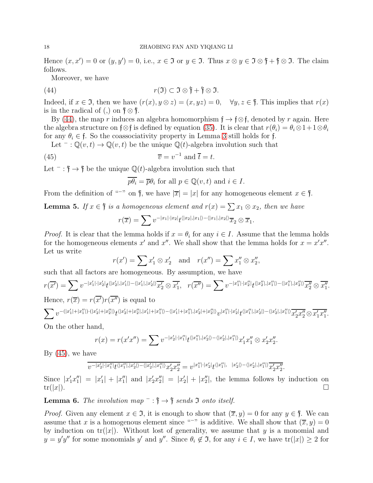Hence  $(x, x') = 0$  or  $(y, y') = 0$ , i.e.,  $x \in \mathfrak{I}$  or  $y \in \mathfrak{I}$ . Thus  $x \otimes y \in \mathfrak{I} \otimes \mathfrak{f} + \mathfrak{f} \otimes \mathfrak{I}$ . The claim follows.

Moreover, we have

(44) 
$$
r(\mathfrak{I}) \subset \mathfrak{I} \otimes \mathfrak{f} + \mathfrak{f} \otimes \mathfrak{I}.
$$

Indeed, if  $x \in \mathfrak{I}$ , then we have  $(r(x), y \otimes z) = (x, yz) = 0, \quad \forall y, z \in \mathfrak{f}$ . This implies that  $r(x)$ is in the radical of (,) on  $\mathfrak{f} \otimes \mathfrak{f}$ .

By [\(44\)](#page-17-0), the map r induces an algebra homomorphism  $f \rightarrow f \otimes f$ , denoted by r again. Here the algebra structure on f⊗f is defined by equation [\(35\)](#page-14-1). It is clear that  $r(\theta_i) = \theta_i \otimes 1 + 1 \otimes \theta_i$ for any  $\theta_i \in \mathfrak{f}$ . So the coassociativity property in Lemma [3](#page-14-4) still holds for  $\mathfrak{f}$ .

Let  $\bar{Q}(v,t) \to \mathbb{Q}(v,t)$  be the unique  $\mathbb{Q}(t)$ -algebra involution such that

(45) 
$$
\overline{v} = v^{-1} \text{ and } \overline{t} = t.
$$

Let  $\bar{f}$  :  $\hat{f}$   $\rightarrow$   $\hat{f}$  be the unique  $\mathbb{Q}(t)$ -algebra involution such that

<span id="page-17-1"></span><span id="page-17-0"></span>
$$
\overline{p\theta_i} = \overline{p}\theta_i \text{ for all } p \in \mathbb{Q}(v, t) \text{ and } i \in I.
$$

From the definition of "<sup>-</sup>" on  $\mathfrak{f}$ , we have  $|\overline{x}| = |x|$  for any homogeneous element  $x \in \mathfrak{f}$ .

<span id="page-17-2"></span>**Lemma 5.** If  $x \in \mathfrak{f}$  is a homogeneous element and  $r(x) = \sum x_1 \otimes x_2$ , then we have

$$
r(\overline{x}) = \sum v^{-|x_1|\cdot|x_2|} t^{\langle |x_2|, |x_1|\rangle - \langle |x_1|, |x_2|\rangle} \overline{x}_2 \otimes \overline{x}_1.
$$

*Proof.* It is clear that the lemma holds if  $x = \theta_i$  for any  $i \in I$ . Assume that the lemma holds for the homogeneous elements  $x'$  and  $x''$ . We shall show that the lemma holds for  $x = x'x''$ . Let us write

$$
r(x') = \sum x'_1 \otimes x'_2 \quad \text{and} \quad r(x'') = \sum x''_1 \otimes x''_2,
$$

such that all factors are homogeneous. By assumption, we have

$$
r(\overline{x'}) = \sum v^{-|x'_1| \cdot |x'_2|} t^{\langle |x'_2|, |x'_1| \rangle - \langle |x'_1|, |x'_2| \rangle} \overline{x'_2} \otimes \overline{x'_1}, \quad r(\overline{x''}) = \sum v^{-|x''_1| \cdot |x''_2|} t^{\langle |x''_2|, |x''_1| \rangle - \langle |x''_1|, |x''_2| \rangle} \overline{x''_2} \otimes \overline{x''_1}.
$$
  
Hence,  $r(\overline{x}) = r(\overline{x'}) r(\overline{x''})$  is equal to

 $\sum v^{-(|x_1'|+|x_1''|)\cdot(|x_2'|+|x_2''|)}t^{\langle |x_2'|+|x_2''|,|x_1'|+|x_1''|\rangle-\langle |x_1'|+|x_1''|,|x_2'|+|x_2''|\rangle}v^{|x_1''|\cdot|x_2'|}t^{\langle |x_1''|,|x_2'|-\langle |x_2'|,|x_1''|\rangle}\overline{x_2'x_2''\otimes \overline{x_1'x_1''}}.$ 

On the other hand,

$$
r(x) = r(x'x'') = \sum v^{-|x_2'|\cdot|x_1''|} t^{\langle |x_1''|, |x_2'| \rangle - \langle |x_2'|, |x_1''| \rangle} x_1'x_1'' \otimes x_2'x_2''.
$$

By  $(45)$ , we have

$$
\overline{v^{-|x_2'|\cdot |x_1''|}t^{\langle |x_1''|,|x_2'|\rangle-\langle |x_2'|,|x_1''|\rangle}x_2'x_2''}=v^{|x_1''|\cdot |x_2'|}t^{\langle |x_1''|,\ |x_2'|\rangle-\langle |x_2'|,|x_1''|\rangle}\overline{x_2'x_2''}.
$$

Since  $|x'_1x''_1| = |x'_1| + |x''_1|$  and  $|x'_2x''_2| = |x'_2| + |x''_2|$ , the lemma follows by induction on  $\text{tr}(|x|).$ 

<span id="page-17-3"></span>**Lemma 6.** The involution map  $\overline{\phantom{a}}$  :  $\overline{\phantom{a}}$  +  $\overline{\phantom{a}}$  sends 3 onto itself.

*Proof.* Given any element  $x \in \mathfrak{I}$ , it is enough to show that  $(\overline{x}, y) = 0$  for any  $y \in \mathfrak{f}$ . We can assume that x is a homogenous element since "<sup>−"</sup> is additive. We shall show that  $(\overline{x}, y) = 0$ by induction on  $tr(|x|)$ . Without lost of generality, we assume that y is a monomial and  $y = y'y''$  for some monomials y' and y''. Since  $\theta_i \notin \mathfrak{I}$ , for any  $i \in I$ , we have  $\text{tr}(|x|) \geq 2$  for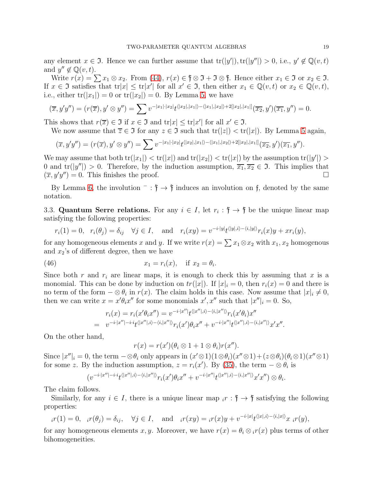any element  $x \in \mathfrak{I}$ . Hence we can further assume that  $tr(|y'|), tr(|y''|) > 0$ , i.e.,  $y' \notin \mathbb{Q}(v, t)$ and  $y'' \notin \mathbb{Q}(v, t)$ .

Write  $r(x) = \sum x_1 \otimes x_2$ . From [\(44\)](#page-17-0),  $r(x) \in \mathfrak{f} \otimes \mathfrak{I} + \mathfrak{I} \otimes \mathfrak{f}$ . Hence either  $x_1 \in \mathfrak{I}$  or  $x_2 \in \mathfrak{I}$ . If  $x \in \mathfrak{I}$  satisfies that  $tr|x| \leq tr|x'|$  for all  $x' \in \mathfrak{I}$ , then either  $x_1 \in \mathbb{Q}(v,t)$  or  $x_2 \in \mathbb{Q}(v,t)$ , i.e., either  $tr(|x_1|) = 0$  or  $tr(|x_2|) = 0$ . By Lemma [5,](#page-17-2) we have

$$
(\overline{x}, y'y'') = (r(\overline{x}), y' \otimes y'') = \sum v^{-|x_1| \cdot |x_2|} t^{\langle |x_2|, |x_1| \rangle - \langle |x_1|, |x_2| \rangle + 2[|x_2|, |x_1|]} (\overline{x_2}, y')(\overline{x_1}, y'') = 0.
$$

This shows that  $r(\overline{x}) \in \mathfrak{I}$  if  $x \in \mathfrak{I}$  and  $tr|x| \leq tr|x'|$  for all  $x' \in \mathfrak{I}$ .

We now assume that  $\overline{z} \in \mathfrak{I}$  for any  $z \in \mathfrak{I}$  such that  $tr(|z|) < tr(|x|)$ . By Lemma [5](#page-17-2) again,

$$
(\overline{x}, y'y'') = (r(\overline{x}), y' \otimes y'') = \sum v^{-|x_1| \cdot |x_2|} t^{\langle |x_2|, |x_1| \rangle - \langle |x_1|, |x_2| \rangle + 2[|x_2|, |x_1|]} (\overline{x_2}, y')(\overline{x_1}, y'').
$$

We may assume that both  $tr(|x_1|) < tr(|x|)$  and  $tr(|x_2|) < tr(|x|)$  by the assumption  $tr(|y'|) >$ 0 and  $tr(|y''|) > 0$ . Therefore, by the induction assumption,  $\overline{x_1}, \overline{x_2} \in \mathfrak{I}$ . This implies that  $(\overline{x}, y'y'') = 0$ . This finishes the proof.

By Lemma [6,](#page-17-3) the involution  $\overline{\phantom{a}}$ :  $\mathfrak{f} \rightarrow \mathfrak{f}$  induces an involution on f, denoted by the same notation.

3.3. Quantum Serre relations. For any  $i \in I$ , let  $r_i : \mathfrak{f} \to \mathfrak{f}$  be the unique linear map satisfying the following properties:

$$
r_i(1) = 0, \quad r_i(\theta_j) = \delta_{ij} \quad \forall j \in I, \quad \text{and} \quad r_i(xy) = v^{-i \cdot |y|} t^{\langle |y|, i \rangle - \langle i, |y| \rangle} r_i(x) y + xr_i(y),
$$

for any homogeneous elements x and y. If we write  $r(x) = \sum x_1 \otimes x_2$  with  $x_1, x_2$  homogenous and  $x_2$ 's of different degree, then we have

(46) 
$$
x_1 = r_i(x), \quad \text{if } x_2 = \theta_i.
$$

Since both r and  $r_i$  are linear maps, it is enough to check this by assuming that x is a monomial. This can be done by induction on  $tr(|x|)$ . If  $|x|_i = 0$ , then  $r_i(x) = 0$  and there is no term of the form  $-\otimes \theta_i$  in  $r(x)$ . The claim holds in this case. Now assume that  $|x|_i \neq 0$ , then we can write  $x = x'\theta_i x''$  for some monomials  $x', x''$  such that  $|x''|_i = 0$ . So,

<span id="page-18-0"></span>
$$
r_i(x) = r_i(x'\theta_i x'') = v^{-i \cdot |x''|} t^{\langle |x''|,i \rangle - \langle i, |x''| \rangle} r_i(x'\theta_i) x''
$$
  
= 
$$
v^{-i \cdot |x''| - i \cdot i} t^{\langle |x''|,i \rangle - \langle i, |x''| \rangle} r_i(x') \theta_i x'' + v^{-i \cdot |x''|} t^{\langle |x''|,i \rangle - \langle i, |x''| \rangle} x' x''.
$$

On the other hand,

$$
r(x) = r(x')(\theta_i \otimes 1 + 1 \otimes \theta_i)r(x'').
$$

Since  $|x''|_i = 0$ , the term  $-\otimes \theta_i$  only appears in  $(x' \otimes 1)(1 \otimes \theta_i)(x'' \otimes 1) + (z \otimes \theta_i)(\theta_i \otimes 1)(x'' \otimes 1)$ for some z. By the induction assumption,  $z = r_i(x')$ . By [\(35\)](#page-14-1), the term  $-\otimes \theta_i$  is

$$
(v^{-i\cdot|x''| - i\cdot i}t^{\langle |x''|,i\rangle - \langle i, |x''| \rangle}r_i(x')\theta_ix'' + v^{-i\cdot|x''|}t^{\langle |x''|,i\rangle - \langle i, |x''| \rangle}x'x'') \otimes \theta_i.
$$

The claim follows.

Similarly, for any  $i \in I$ , there is a unique linear map  $i \in I$ ,  $\mathfrak{f} \to \mathfrak{f}$  satisfying the following properties:

$$
{}_{i}r(1) = 0, \quad {}_{i}r(\theta_{j}) = \delta_{ij}, \quad \forall j \in I, \quad \text{and} \quad {}_{i}r(xy) = {}_{i}r(x)y + v^{-i \cdot |x|}t^{\langle |x|,i\rangle - \langle i, |x| \rangle}x \, {}_{i}r(y),
$$

for any homogeneous elements x, y. Moreover, we have  $r(x) = \theta_i \otimes_i r(x)$  plus terms of other bihomogeneities.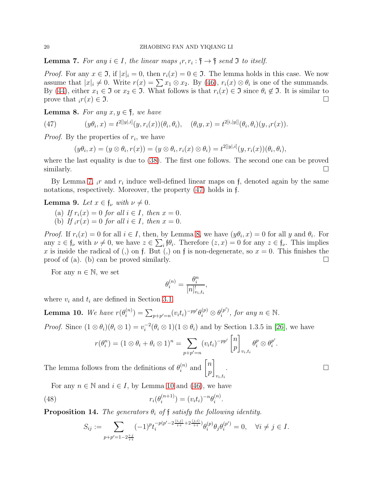<span id="page-19-0"></span>**Lemma 7.** For any  $i \in I$ , the linear maps  $_i r, r_i : \mathfrak{f} \to \mathfrak{f}$  send 3 to itself.

*Proof.* For any  $x \in \mathfrak{I}$ , if  $|x|_i = 0$ , then  $r_i(x) = 0 \in \mathfrak{I}$ . The lemma holds in this case. We now assume that  $|x|_i \neq 0$ . Write  $r(x) = \sum x_1 \otimes x_2$ . By [\(46\)](#page-18-0),  $r_i(x) \otimes \theta_i$  is one of the summands. By [\(44\)](#page-17-0), either  $x_1 \in \mathfrak{I}$  or  $x_2 \in \mathfrak{I}$ . What follows is that  $r_i(x) \in \mathfrak{I}$  since  $\theta_i \notin \mathfrak{I}$ . It is similar to prove that  $_i r(x) \in \mathfrak{I}$ .

<span id="page-19-2"></span>**Lemma 8.** For any  $x, y \in \mathfrak{f}$ , we have

(47) 
$$
(y\theta_i, x) = t^{2[|y|, i]}(y, r_i(x))(\theta_i, \theta_i), \quad (\theta_i y, x) = t^{2[i, |y|]}(\theta_i, \theta_i)(y, i r(x)).
$$

*Proof.* By the properties of  $r_i$ , we have

<span id="page-19-1"></span> $(y\theta_i, x) = (y \otimes \theta_i, r(x)) = (y \otimes \theta_i, r_i(x) \otimes \theta_i) = t^{2[|y|, i]}(y, r_i(x))(\theta_i, \theta_i),$ 

where the last equality is due to [\(38\)](#page-15-2). The first one follows. The second one can be proved similarly.  $\Box$ 

By Lemma [7,](#page-19-0)  $_i r$  and  $r_i$  induce well-defined linear maps on f, denoted again by the same notations, respectively. Moreover, the property [\(47\)](#page-19-1) holds in f.

<span id="page-19-4"></span>**Lemma 9.** Let  $x \in \mathfrak{f}_{\nu}$  with  $\nu \neq 0$ .

- (a) If  $r_i(x) = 0$  for all  $i \in I$ , then  $x = 0$ .
- (b) If  $_i r(x) = 0$  for all  $i \in I$ , then  $x = 0$ .

*Proof.* If  $r_i(x) = 0$  for all  $i \in I$ , then, by Lemma [8,](#page-19-2) we have  $(y\theta_i, x) = 0$  for all y and  $\theta_i$ . For any  $z \in \mathfrak{f}_{\nu}$  with  $\nu \neq 0$ , we have  $z \in \sum_{i} \mathfrak{f}_{i} \theta_{i}$ . Therefore  $(z, x) = 0$  for any  $z \in \mathfrak{f}_{\nu}$ . This implies x is inside the radical of (,) on f. But (,) on f is non-degenerate, so  $x = 0$ . This finishes the proof of (a). (b) can be proved similarly.

For any  $n \in \mathbb{N}$ , we set

$$
\theta_i^{(n)} = \frac{\theta_i^n}{[n]_{v_i,t_i}^!},
$$

where  $v_i$  and  $t_i$  are defined in Section [3.1.](#page-14-6)

<span id="page-19-3"></span>Lemma 10. We have  $r(\theta_i^{(n)})$  $\hat{\theta}_i^{(n)}) = \sum_{p+p'=n} (v_i t_i)^{-pp'} \theta_i^{(p)} \otimes \theta_i^{(p')}$  $i^{(p)}$ , for any  $n \in \mathbb{N}$ .

*Proof.* Since  $(1 \otimes \theta_i)(\theta_i \otimes 1) = v_i^{-2}$  $i^{2}(\theta_i \otimes 1)(1 \otimes \theta_i)$  and by Section 1.3.5 in [\[26\]](#page-32-0), we have

$$
r(\theta_i^n) = (1 \otimes \theta_i + \theta_i \otimes 1)^n = \sum_{p+p'=n} (v_i t_i)^{-pp'} \begin{bmatrix} n \\ p \end{bmatrix}_{v_i, t_i} \theta_i^p \otimes \theta_i^{p'}.
$$

<span id="page-19-5"></span> $v_i,t_i$ 

.

The lemma follows from the definitions of  $\theta_i^{(n)}$  $\binom{n}{i}$  and  $\binom{n}{n}$ p

For any  $n \in \mathbb{N}$  and  $i \in I$ , by Lemma [10](#page-19-3) and [\(46\)](#page-18-0), we have

(48) 
$$
r_i(\theta_i^{(n+1)}) = (v_i t_i)^{-n} \theta_i^{(n)}
$$

<span id="page-19-6"></span>**Proposition 14.** The generators  $\theta_i$  of f satisfy the following identity.

$$
S_{ij} := \sum_{p+p'=1-2\frac{i\cdot j}{i\cdot i}} (-1)^p t_i^{-p(p'-2\frac{\langle i,j\rangle}{i\cdot i}+2\frac{\langle j,i\rangle}{i\cdot i})} \theta_i^{(p)} \theta_j \theta_i^{(p')} = 0, \quad \forall i \neq j \in I.
$$

. В последните последните под на приема с последните се приема с последните се приема с последните си<mark>ста с</mark>е пр<br>В последните се приема с последните се приема с приема с приема с приема с приема с приема с приема с приема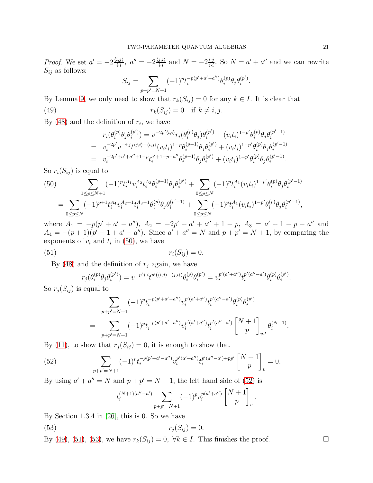*Proof.* We set  $a' = -2\frac{\langle i,j \rangle}{i,j}$  $\frac{\langle i,j\rangle}{i\cdot i},\,\,a''=-2\frac{\langle j,i\rangle}{i\cdot i}$  $\frac{j,i\rangle}{i\cdot i}$  and  $N=-2\frac{i\cdot j}{i\cdot i}$  $\frac{i \cdot j}{i \cdot i}$ . So  $N = a' + a''$  and we can rewrite  $S_{ij}$  as follows:

<span id="page-20-2"></span>
$$
S_{ij} = \sum_{p+p'=N+1} (-1)^p t_i^{-p(p'+a'-a'')} \theta_i^{(p)} \theta_j \theta_i^{(p')}.
$$

By Lemma [9,](#page-19-4) we only need to show that  $r_k(S_{ij}) = 0$  for any  $k \in I$ . It is clear that (49)  $r_k(S_{ij}) = 0$  if  $k \neq i, j$ .

By  $(48)$  and the definition of  $r_i$ , we have

$$
r_i(\theta_i^{(p)}\theta_j\theta_i^{(p')}) = v^{-2p'\langle i,i \rangle}r_i(\theta_i^{(p)}\theta_j)\theta_i^{(p')} + (v_i t_i)^{1-p'}\theta_i^{(p)}\theta_j\theta_i^{(p'-1)}
$$
  
\n
$$
= v_i^{-2p'}v^{-i\cdot j}t^{\langle j,i \rangle - \langle i,j \rangle}(v_i t_i)^{1-p}\theta_i^{(p-1)}\theta_j\theta_i^{(p')} + (v_i t_i)^{1-p'}\theta_i^{(p)}\theta_j\theta_i^{(p'-1)}
$$
  
\n
$$
= v_i^{-2p'+a'+a''+1-p}t_i^{a'+1-p-a''}\theta_i^{(p-1)}\theta_j\theta_i^{(p')} + (v_i t_i)^{1-p'}\theta_i^{(p)}\theta_j\theta_i^{(p'-1)}.
$$

So  $r_i(S_{ij})$  is equal to

<span id="page-20-0"></span>
$$
(50) \sum_{1 \le p \le N+1} (-1)^p t_i^{A_1} v_i^{A_2} t_i^{A_3} \theta_i^{(p-1)} \theta_j \theta_i^{(p')} + \sum_{0 \le p \le N} (-1)^p t_i^{A_1} (v_i t_i)^{1-p'} \theta_i^{(p)} \theta_j \theta_i^{(p'-1)} = \sum_{0 \le p \le N} (-1)^{p+1} t_i^{A_4} v_i^{A_2+1} t_i^{A_3-1} \theta_i^{(p)} \theta_j \theta_i^{(p'-1)} + \sum_{0 \le p \le N} (-1)^p t_i^{A_1} (v_i t_i)^{1-p'} \theta_i^{(p)} \theta_j \theta_i^{(p'-1)},
$$

where  $A_1 = -p(p' + a' - a'')$ ,  $A_2 = -2p' + a' + a'' + 1 - p$ ,  $A_3 = a' + 1 - p - a''$  and  $A_4 = -(p+1)(p'-1+a'-a'')$ . Since  $a' + a'' = N$  and  $p+p' = N+1$ , by comparing the exponents of  $v_i$  and  $t_i$  in [\(50\)](#page-20-0), we have

$$
r_i(S_{ij}) = 0.
$$

By [\(48\)](#page-19-5) and the definition of  $r_i$  again, we have

<span id="page-20-3"></span>
$$
r_j(\theta_i^{(p)}\theta_j\theta_i^{(p')}) = v^{-p'j \cdot i} t^{p'(\langle i,j \rangle - \langle j,i \rangle)} \theta_i^{(p)} \theta_i^{(p')} = v_i^{p'(a' + a'')} t_i^{p'(a'' - a')} \theta_i^{(p)} \theta_i^{(p')}.
$$

So  $r_j(S_{ij})$  is equal to

$$
\sum_{p+p'=N+1} (-1)^p t_i^{-p(p'+a'-a'')} v_i^{p'(a'+a'')} t_i^{p'(a''-a')} \theta_i^{(p)} \theta_i^{(p')}
$$
  
= 
$$
\sum_{p+p'=N+1} (-1)^p t_i^{-p(p'+a'-a'')} v_i^{p'(a'+a'')} t_i^{p'(a''-a')} \begin{bmatrix} N+1 \ p \end{bmatrix}_{v,t} \theta_i^{(N+1)}.
$$

By [\(11\)](#page-7-0), to show that  $r_j(S_{ij}) = 0$ , it is enough to show that

(52) 
$$
\sum_{p+p'=N+1} (-1)^p t_i^{-p(p'+a'-a'')} v_i^{p'(a'+a'')} t_i^{p'(a''-a')+pp'} \begin{bmatrix} N+1 \\ p \end{bmatrix}_v = 0.
$$

By using  $a' + a'' = N$  and  $p + p' = N + 1$ , the left hand side of [\(52\)](#page-20-1) is

<span id="page-20-4"></span><span id="page-20-1"></span>
$$
t_i^{(N+1)(a''-a')}\sum_{p+p'=N+1}(-1)^pv_i^{p(a'+a'')} \begin{bmatrix}N+1\\p\end{bmatrix}_v
$$

.

By Section 1.3.4 in [\[26\]](#page-32-0), this is 0. So we have

$$
(53) \t\t\t r_j(S_{ij}) = 0.
$$

By [\(49\)](#page-20-2), [\(51\)](#page-20-3), [\(53\)](#page-20-4), we have  $r_k(S_{ij}) = 0$ ,  $\forall k \in I$ . This finishes the proof.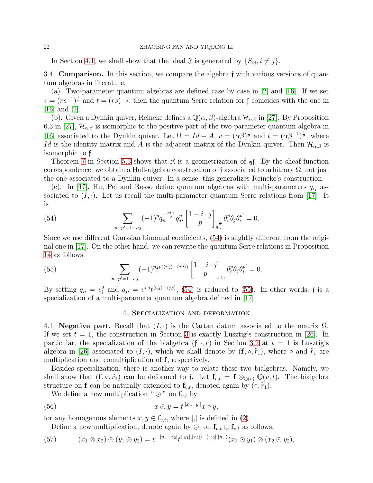#### 22 ZHAOBING FAN AND YIQIANG LI

<span id="page-21-0"></span>In Section [4.1,](#page-21-2) we shall show that the ideal  $\mathfrak{J}$  is generated by  $\{S_{ij}, i \neq j\}$ .

3.4. Comparison. In this section, we compare the algebra f with various versions of quantum algebras in literature.

(a). Two-parameter quantum algebras are defined case by case in [\[2\]](#page-31-4) and [\[16\]](#page-32-11). If we set  $v = (rs^{-1})^{\frac{1}{2}}$  and  $t = (rs)^{-\frac{1}{2}}$ , then the quantum Serre relation for f coincides with the one in [\[16\]](#page-32-11) and [\[2\]](#page-31-4).

(b). Given a Dynkin quiver, Reineke defines a  $\mathbb{Q}(\alpha,\beta)$ -algebra  $\mathcal{H}_{\alpha,\beta}$  in [\[27\]](#page-32-8). By Proposition 6.3 in [\[27\]](#page-32-8),  $\mathcal{H}_{\alpha,\beta}$  is isomorphic to the positive part of the two-parameter quantum algebra in [\[16\]](#page-32-11) associated to the Dynkin quiver. Let  $\Omega = Id - A$ ,  $v = (\alpha \beta)^{\frac{1}{2}}$  and  $t = (\alpha \beta^{-1})^{\frac{1}{2}}$ , where Id is the identity matrix and A is the adjacent matrix of the Dynkin quiver. Then  $\mathcal{H}_{\alpha,\beta}$  is isomorphic to f.

Theorem [7](#page-29-1) in Section [5.3](#page-29-2) shows that  $\mathfrak K$  is a geometrization of  $\mathfrak A$ . By the sheaf-function correspondence, we obtain a Hall-algebra construction of f associated to arbitrary  $\Omega$ , not just the one associated to a Dynkin quiver. In a sense, this generalizes Reineke's construction.

(c). In [\[17\]](#page-32-9), Hu, Pei and Rosso define quantum algebras with multi-parameters  $q_{ij}$  associated to  $(I, \cdot)$ . Let us recall the multi-parameter quantum Serre relations from [\[17\]](#page-32-9). It is

<span id="page-21-3"></span>(54) 
$$
\sum_{p+p'=1-i\cdot j} (-1)^p q_{ii}^{-\frac{pi \cdot j}{2}} q_{ji}^p \begin{bmatrix} 1-i \cdot j \\ p \end{bmatrix}_{q_{ii}^{\frac{1}{2}}} \theta_i^p \theta_j \theta_i^{p'} = 0.
$$

Since we use different Gaussian binomial coefficients, [\(54\)](#page-21-3) is slightly different from the original one in [\[17\]](#page-32-9). On the other hand, we can rewrite the quantum Serre relations in Proposition [14](#page-19-6) as follows.

(55) 
$$
\sum_{p+p'=1-i\cdot j} (-1)^p t^{p(\langle i,j\rangle - \langle j,i\rangle)} \begin{bmatrix} 1-i\cdot j \\ p \end{bmatrix}_{v_i} \theta_i^p \theta_j \theta_i^{p'} = 0.
$$

<span id="page-21-1"></span>By setting  $q_{ii} = v_i^2$  and  $q_{ji} = v^{i \cdot j} t^{\langle i,j \rangle - \langle j,i \rangle}$ , [\(54\)](#page-21-3) is reduced to [\(55\)](#page-21-4). In other words, f is a specialization of a multi-parameter quantum algebra defined in [\[17\]](#page-32-9).

#### <span id="page-21-5"></span><span id="page-21-4"></span>4. Specialization and deformation

<span id="page-21-2"></span>4.1. **Negative part.** Recall that  $(I, \cdot)$  is the Cartan datum associated to the matrix  $\Omega$ . If we set  $t = 1$ , the construction in Section [3](#page-14-0) is exactly Lusztig's construction in [\[26\]](#page-32-0). In particular, the specialization of the bialgebra  $(f, \cdot, r)$  in Section [3.2](#page-16-0) at  $t = 1$  is Lusztig's algebra in [\[26\]](#page-32-0) associated to  $(I, \cdot)$ , which we shall denote by  $(f, \circ, \tilde{r}_1)$ , where  $\circ$  and  $\tilde{r}_1$  are multiplication and comultiplication of f, respectively.

Besides specialization, there is another way to relate these two bialgebras. Namely, we shall show that  $(f, \circ, \tilde{r}_1)$  can be deformed to f. Let  $f_{v,t} = f \otimes_{\mathbb{Q}(v)} \mathbb{Q}(v,t)$ . The bialgebra structure on **f** can be naturally extended to  $\mathbf{f}_{v,t}$ , denoted again by  $(\circ, \widetilde{r}_1)$ .

We define a new multiplication " $\odot$ " on  $\mathbf{f}_{v,t}$  by

$$
(56) \t\t x \odot y = t^{[|x|, |y|]} x \circ y,
$$

for any homogenous elements  $x, y \in \mathbf{f}_{v,t}$ , where [,] is defined in [\(2\)](#page-4-0).

Define a new multiplication, denote again by  $\odot$ , on  $\mathbf{f}_{v,t} \otimes \mathbf{f}_{v,t}$  as follows.

$$
(57) \qquad (x_1 \otimes x_2) \odot (y_1 \otimes y_2) = v^{-|y_1| \cdot |x_2|} t^{\langle |y_1|, |x_2| \rangle - \langle |x_2|, |y_1| \rangle} (x_1 \odot y_1) \otimes (x_2 \odot y_2),
$$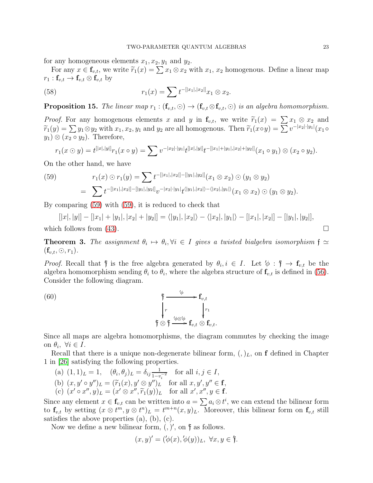for any homogeneous elements  $x_1, x_2, y_1$  and  $y_2$ .

For any  $x \in \mathbf{f}_{v,t}$ , we write  $\widetilde{r}_1(x) = \sum x_1 \otimes x_2$  with  $x_1, x_2$  homogenous. Define a linear map  $r_1: \mathbf{f}_{v,t} \to \mathbf{f}_{v,t} \otimes \mathbf{f}_{v,t}$  by

(58) 
$$
r_1(x) = \sum t^{-[|x_1|,|x_2|]} x_1 \otimes x_2.
$$

<span id="page-22-3"></span>**Proposition 15.** The linear map  $r_1$  :  $(f_{v,t}, \odot) \rightarrow (f_{v,t} \otimes f_{v,t}, \odot)$  is an algebra homomorphism.

*Proof.* For any homogenous elements x and y in  $f_{v,t}$ , we write  $\tilde{r}_1(x) = \sum x_1 \otimes x_2$  and  $\widetilde{r}_1(y) = \sum y_1 \otimes y_2$  with  $x_1, x_2, y_1$  and  $y_2$  are all homogenous. Then  $\widetilde{r}_1(x \circ y) = \sum v^{-|x_2| \cdot |y_1|}(x_1 \circ y)$  $y_1) \otimes (x_2 \circ y_2)$ . Therefore,

$$
r_1(x \odot y) = t^{[|x|,|y|]} r_1(x \circ y) = \sum v^{-|x_2| \cdot |y_1|} t^{[|x|,|y|]} t^{-[|x_1|+|y_1|,|x_2|+|y_2|]}(x_1 \circ y_1) \otimes (x_2 \circ y_2).
$$

On the other hand, we have

<span id="page-22-0"></span>(59) 
$$
r_1(x) \odot r_1(y) = \sum t^{-[[x_1],[x_2]]-[[y_1],[y_2]]}(x_1 \otimes x_2) \odot (y_1 \otimes y_2)
$$

$$
= \sum t^{-[[x_1],[x_2]]-[[y_1],[y_2]]} v^{-[x_2]\cdot[y_1]} t^{\langle [y_1],[x_2]\rangle - \langle [x_2],[y_1]\rangle} (x_1 \otimes x_2) \odot (y_1 \otimes y_2).
$$

By comparing [\(59\)](#page-22-0) with [\(59\)](#page-22-0), it is reduced to check that

$$
[|x|, |y|] - [|x_1| + |y_1|, |x_2| + |y_2|] = \langle |y_1|, |x_2| \rangle - \langle |x_2|, |y_1| \rangle - [|x_1|, |x_2|] - [|y_1|, |y_2|],
$$
  
which follows from (43).

<span id="page-22-2"></span>**Theorem 3.** The assignment  $\theta_i \mapsto \theta_i$ ,  $\forall i \in I$  gives a twisted bialgebra isomorphism  $\mathfrak{f} \simeq$  $(\mathbf{f}_{v,t}, \odot, r_1).$ 

*Proof.* Recall that  $\hat{\mathfrak{f}}$  is the free algebra generated by  $\theta_i, i \in I$ . Let  $\phi : \hat{\mathfrak{f}} \to \mathbf{f}_{v,t}$  be the algebra homomorphism sending  $\theta_i$  to  $\theta_i$ , where the algebra structure of  $\mathbf{f}_{v,t}$  is defined in [\(56\)](#page-21-5). Consider the following diagram.

<span id="page-22-1"></span>(60)  
\n
$$
\begin{array}{ccc}\n & \uparrow & \rightarrow & \mathbf{f}_{v,t} \\
 & \downarrow & \qquad & \downarrow r_1 \\
 & \uparrow & \qquad & \downarrow r_1 \\
 & \uparrow & \otimes & \uparrow & \downarrow r_1 \\
 & \uparrow & \otimes & \uparrow & \downarrow r_1, t \otimes & \mathbf{f}_{v,t}.\n\end{array}
$$

Since all maps are algebra homomorphisms, the diagram commutes by checking the image on  $\theta_i, \ \forall i \in I.$ 

Recall that there is a unique non-degenerate bilinear form,  $(,)_L$ , on f defined in Chapter 1 in [\[26\]](#page-32-0) satisfying the following properties.

- (a)  $(1,1)_L = 1$ ,  $(\theta_i, \theta_j)_L = \delta_{ij} \frac{1}{1-i}$  $\frac{1}{1-v_i^{-2}}$  for all  $i, j \in I$ ,
- (b)  $(x, y' \circ y'')_L = (\widetilde{r}_1(x), y' \otimes y'')_L$  for all  $x, y', y'' \in \mathbf{f}$ ,
- (c)  $(x' \circ x'', y)_L = (x' \otimes x'', \widetilde{r}_1(y))_L$  for all  $x', x'', y \in \mathbf{f}$ .

Since any element  $x \in \mathbf{f}_{v,t}$  can be written into  $a = \sum a_i \otimes t^i$ , we can extend the bilinear form to  $\mathbf{f}_{v,t}$  by setting  $(x \otimes t^m, y \otimes t^n)_L = t^{m+n}(x, y)_L$ . Moreover, this bilinear form on  $\mathbf{f}_{v,t}$  still satisfies the above properties (a), (b), (c).

Now we define a new bilinear form,  $($ ,  $)'$ , on  $\dagger$  as follows.

$$
(x,y)' = (\langle \phi(x), \phi(y) \rangle_L, \ \forall x, y \in \mathfrak{f}.
$$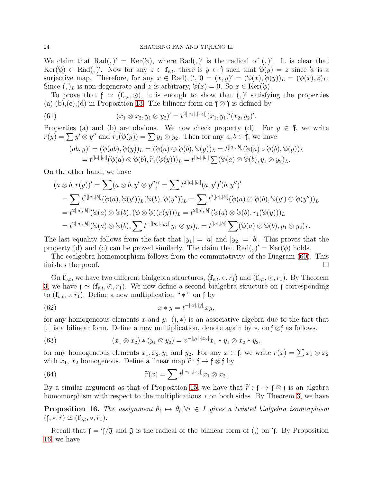We claim that Rad(,)' =  $\text{Ker}(\phi)$ , where Rad(,)' is the radical of (,)'. It is clear that  $\text{Ker}(\phi) \subset \text{Rad}(n)$ . Now for any  $z \in \mathbf{f}_{v,t}$ , there is  $y \in \mathfrak{f}$  such that  $\phi(y) = z$  since  $\phi$  is a surjective map. Therefore, for any  $x \in \text{Rad}(0, Y, 0 = (x, y)' = (\phi(x), \phi(y))_L = (\phi(x), z)_L$ . Since  $(,)$ <sub>L</sub> is non-degenerate and z is arbitrary,  $\phi(x) = 0$ . So  $x \in \text{Ker}(\phi)$ .

To prove that  $f \simeq (f_{v,t}, \odot)$ , it is enough to show that  $(,)'$  satisfying the properties  $(a), (b), (c), (d)$  in Proposition [13.](#page-14-5) The bilinear form on  $\mathfrak{f} \otimes \mathfrak{f}$  is defined by

(61) 
$$
(x_1 \otimes x_2, y_1 \otimes y_2)' = t^{2[|x_1|,|x_2|]}(x_1, y_1)'(x_2, y_2)'.
$$

Properties (a) and (b) are obvious. We now check property (d). For  $y \in \mathfrak{f}$ , we write  $r(y) = \sum y' \otimes y''$  and  $\widetilde{r}_1(\phi(y)) = \sum y_1 \otimes y_2$ . Then for any  $a, b \in \mathfrak{f}$ , we have

<span id="page-23-1"></span>
$$
(ab, y)' = (\langle \phi(ab), \langle \phi(y) \rangle_L = (\langle \phi(a) \odot \langle \phi(b), \langle \phi(y) \rangle_L = t^{[|a|, |b|]} (\langle \phi(a) \circ \langle \phi(b), \langle \phi(y) \rangle_L
$$
  

$$
= t^{[|a|, |b|]} (\langle \phi(a) \otimes \langle \phi(b), \widetilde{r}_1(\langle \phi(y) \rangle) \rangle_L = t^{[|a|, |b|]} \sum (\langle \phi(a) \otimes \langle \phi(b), y_1 \otimes y_2 \rangle_L).
$$

On the other hand, we have

$$
(a \otimes b, r(y))' = \sum (a \otimes b, y' \otimes y'')' = \sum t^{2[|a|,|b|]} (a, y')' (b, y'')'
$$
  
= 
$$
\sum t^{2[|a|,|b|]} (\phi(a), \phi(y'))_L (\phi(b), \phi(y''))_L = \sum t^{2[|a|,|b|]} (\phi(a) \otimes \phi(b), \phi(y') \otimes \phi(y''))_L
$$
  
= 
$$
t^{2[|a|,|b|]} (\phi(a) \otimes \phi(b), (\phi \otimes \phi)(r(y)))_L = t^{2[|a|,|b|]} (\phi(a) \otimes \phi(b), r_1(\phi(y)))_L
$$
  
= 
$$
t^{2[|a|,|b|]} (\phi(a) \otimes \phi(b), \sum t^{-[|y_1|,|y_2|]} y_1 \otimes y_2)_L = t^{[|a|,|b|]} \sum (\phi(a) \otimes \phi(b), y_1 \otimes y_2)_L.
$$

The last equality follows from the fact that  $|y_1| = |a|$  and  $|y_2| = |b|$ . This proves that the property (d) and (c) can be proved similarly. The claim that  $Rad()$  =  $Ker(\phi)$  holds.

The coalgebra homomorphism follows from the commutativity of the Diagram [\(60\)](#page-22-1). This finishes the proof.  $\Box$ 

On  $\mathbf{f}_{v,t}$ , we have two different bialgebra structures,  $(\mathbf{f}_{v,t}, \circ, \widetilde{r}_1)$  and  $(\mathbf{f}_{v,t}, \odot, r_1)$ . By Theorem [3,](#page-22-2) we have  $f \simeq (f_{v,t}, \odot, r_1)$ . We now define a second bialgebra structure on f corresponding to  $(\mathbf{f}_{v,t}, \circ, \widetilde{r}_1)$ . Define a new multiplication " \* " on f by

<span id="page-23-3"></span>(62) 
$$
x * y = t^{-[|x|,|y|]} xy,
$$

for any homogeneous elements x and y.  $(f, *)$  is an associative algebra due to the fact that [, ] is a bilinear form. Define a new multiplication, denote again by ∗, on f ⊗f as follows.

(63) 
$$
(x_1 \otimes x_2) * (y_1 \otimes y_2) = v^{-|y_1| \cdot |x_2|} x_1 * y_1 \otimes x_2 * y_2,
$$

for any homogeneous elements  $x_1, x_2, y_1$  and  $y_2$ . For any  $x \in \mathfrak{f}$ , we write  $r(x) = \sum x_1 \otimes x_2$ with  $x_1, x_2$  homogenous. Define a linear map  $\tilde{r} : \mathfrak{f} \to \mathfrak{f} \otimes \mathfrak{f}$  by

<span id="page-23-2"></span>(64) 
$$
\widetilde{r}(x) = \sum t^{[|x_1|,|x_2|]} x_1 \otimes x_2.
$$

By a similar argument as that of Proposition [15,](#page-22-3) we have that  $\tilde{r}$ :  $f \rightarrow f \otimes f$  is an algebra homomorphism with respect to the multiplications ∗ on both sides. By Theorem [3,](#page-22-2) we have

<span id="page-23-0"></span>**Proposition 16.** The assignment  $\theta_i \mapsto \theta_i, \forall i \in I$  gives a twisted bialgebra isomorphism  $(f, *, \tilde{r}) \simeq (\mathbf{f}_{v,t}, \circ, \tilde{r}_1).$ 

Recall that  $\mathfrak{f} = \mathfrak{f}/\mathfrak{J}$  and  $\mathfrak{J}$  is the radical of the bilinear form of (,) on  $\mathfrak{f}$ . By Proposition [16,](#page-23-0) we have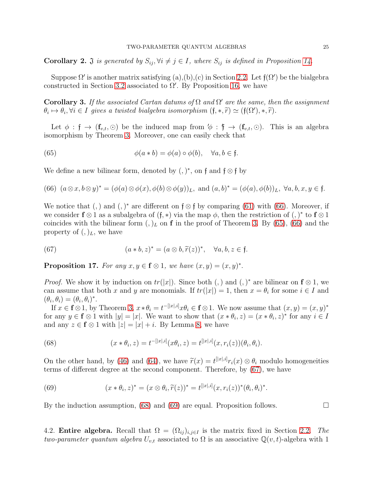<span id="page-24-8"></span>**Corollary 2.**  $\mathfrak J$  is generated by  $S_{ij}, \forall i \neq j \in I$ , where  $S_{ij}$  is defined in Proposition [14.](#page-19-6)

Suppose  $\Omega'$  is another matrix satisfying  $(a)$ , $(b)$ , $(c)$  in Section [2.2.](#page-4-1) Let  $f(\Omega')$  be the bialgebra constructed in Section [3.2](#page-16-0) associated to  $\Omega'$ . By Proposition [16,](#page-23-0) we have

<span id="page-24-0"></span>**Corollary 3.** If the associated Cartan datums of  $\Omega$  and  $\Omega'$  are the same, then the assignment  $\theta_i \mapsto \theta_i, \forall i \in I$  gives a twisted bialgebra isomorphism  $(\mathfrak{f}, \ast, \widetilde{r}) \simeq (\mathfrak{f}(\Omega'), \ast, \widetilde{r}).$ 

Let  $\phi : \mathfrak{f} \to (\mathbf{f}_{v,t}, \odot)$  be the induced map from  $\phi : \mathfrak{f} \to (\mathbf{f}_{v,t}, \odot)$ . This is an algebra isomorphism by Theorem [3.](#page-22-2) Moreover, one can easily check that

<span id="page-24-2"></span>(65) 
$$
\phi(a * b) = \phi(a) \circ \phi(b), \quad \forall a, b \in \mathfrak{f}.
$$

We define a new bilinear form, denoted by  $(,)^*$ , on f and f  $\otimes$  f by

<span id="page-24-1"></span>(66) 
$$
(a \otimes x, b \otimes y)^* = (\phi(a) \otimes \phi(x), \phi(b) \otimes \phi(y))_L
$$
, and  $(a, b)^* = (\phi(a), \phi(b))_L$ ,  $\forall a, b, x, y \in \mathfrak{f}$ .

We notice that (, ) and (, )<sup>\*</sup> are different on  $f \otimes f$  by comparing [\(61\)](#page-23-1) with [\(66\)](#page-24-1). Moreover, if we consider  $f \otimes 1$  as a subalgebra of  $(f, *)$  via the map  $\phi$ , then the restriction of  $(,)^*$  to  $f \otimes 1$ coincides with the bilinear form  $(,)$ <sub>L</sub> on **f** in the proof of Theorem [3.](#page-22-2) By [\(65\)](#page-24-2), [\(66\)](#page-24-1) and the property of  $(,)_L$ , we have

<span id="page-24-3"></span>(67) 
$$
(a * b, z)^* = (a \otimes b, \widetilde{r}(z))^*, \quad \forall a, b, z \in \mathfrak{f}.
$$

<span id="page-24-7"></span>**Proposition 17.** For any  $x, y \in \mathbf{f} \otimes 1$ , we have  $(x, y) = (x, y)^*$ .

*Proof.* We show it by induction on  $tr(|x|)$ . Since both (,) and (,)<sup>\*</sup> are bilinear on  $f \otimes 1$ , we can assume that both x and y are monomials. If  $tr(|x|) = 1$ , then  $x = \theta_i$  for some  $i \in I$  and  $(\theta_i, \theta_i) = (\theta_i, \theta_i)^*.$ 

If  $x \in \mathbf{f} \otimes 1$ , by Theorem [3,](#page-22-2)  $x * \theta_i = t^{-[|x|,i]} x \theta_i \in \mathbf{f} \otimes 1$ . We now assume that  $(x, y) = (x, y)^*$ for any  $y \in \mathbf{f} \otimes 1$  with  $|y| = |x|$ . We want to show that  $(x * \theta_i, z) = (x * \theta_i, z)^*$  for any  $i \in I$ and any  $z \in \mathbf{f} \otimes 1$  with  $|z| = |x| + i$ . By Lemma [8,](#page-19-2) we have

<span id="page-24-4"></span>(68) 
$$
(x * \theta_i, z) = t^{-[|x|, i]} (x \theta_i, z) = t^{[|x|, i]} (x, r_i(z)) (\theta_i, \theta_i).
$$

On the other hand, by [\(46\)](#page-18-0) and [\(64\)](#page-23-2), we have  $\tilde{r}(x) = t^{[|x|,i]} r_i(x) \otimes \theta_i$  modulo homogeneities terms of different degree at the second component. Therefore, by [\(67\)](#page-24-3), we have

<span id="page-24-5"></span>(69) 
$$
(x * \theta_i, z)^* = (x \otimes \theta_i, \widetilde{r}(z))^* = t^{[|x|, i]}(x, r_i(z))^* (\theta_i, \theta_i)^*.
$$

By the induction assumption, [\(68\)](#page-24-4) and [\(69\)](#page-24-5) are equal. Proposition follows.  $\Box$ 

<span id="page-24-6"></span>4.2. **Entire algebra.** Recall that  $\Omega = (\Omega_{ij})_{i,j\in I}$  is the matrix fixed in Section [2.2.](#page-4-1) The two-parameter quantum algebra  $U_{v,t}$  associated to  $\Omega$  is an associative  $\mathbb{Q}(v,t)$ -algebra with 1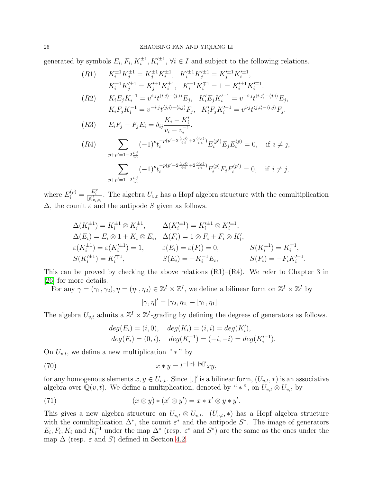generated by symbols  $E_i, F_i, K_i^{\pm 1}, K_i'^{\pm 1}, \forall i \in I$  and subject to the following relations.

$$
(R1) \t K_i^{\pm 1} K_j^{\pm 1} = K_j^{\pm 1} K_i^{\pm 1}, \t K_i'^{\pm 1} K_j'^{\pm 1} = K_j'^{\pm 1} K_i'^{\pm 1},
$$
  
\n
$$
K_i^{\pm 1} K_j'^{\pm 1} = K_j'^{\pm 1} K_i^{\pm 1}, \t K_i^{\pm 1} K_i^{\mp 1} = 1 = K_i'^{\pm 1} K_i'^{\mp 1}.
$$
  
\n
$$
(R2) \t K_i E_j K_i^{-1} = v^{i \cdot j} t^{\langle i, j \rangle - \langle j, i \rangle} E_j, \t K_i' E_j K_i'^{-1} = v^{-i \cdot j} t^{\langle i, j \rangle - \langle j, i \rangle} E_j,
$$
  
\n
$$
K_i F_j K_i^{-1} = v^{-i \cdot j} t^{\langle j, i \rangle - \langle i, j \rangle} F_j, \t K_i' F_j K_i'^{-1} = v^{i \cdot j} t^{\langle j, i \rangle - \langle i, j \rangle} F_j.
$$
  
\n
$$
(R3) \t E_i F_j - F_j E_i = \delta_{ij} \frac{K_i - K_i'}{v_i - v_i^{-1}}.
$$
  
\n
$$
(R4) \t \sum_{p+p'=1-2 \frac{i \cdot j}{i \cdot i}} (-1)^p t_i^{-p(p'-2 \frac{\langle i, j \rangle}{i \cdot i} + 2 \frac{\langle j, i \rangle}{i \cdot i})} E_i^{(p')} E_j E_i^{(p)} = 0, \t \text{ if } i \neq j,
$$
  
\n
$$
\sum_{p+p'=1-2 \frac{i \cdot j}{i \cdot i}} (-1)^p t_i^{-p(p'-2 \frac{\langle i, j \rangle}{i \cdot i} + 2 \frac{\langle j, i \rangle}{i \cdot i})} F_i^{(p)} F_j F_i^{(p')} = 0, \t \text{ if } i \neq j,
$$
  
\n
$$
p + p' = 1 - 2 \frac{i \cdot j}{i \cdot i}
$$

where  $E_i^{(p)} = \frac{E_i^p}{[p]_{v_i,t_i}^1}$ . The algebra  $U_{v,t}$  has a Hopf algebra structure with the comultiplication  $\Delta$ , the counit  $\varepsilon$  and the antipode S given as follows.

$$
\Delta(K_i^{\pm 1}) = K_i^{\pm 1} \otimes K_i^{\pm 1}, \qquad \Delta(K_i'^{\pm 1}) = K_i'^{\pm 1} \otimes K_i'^{\pm 1}, \n\Delta(E_i) = E_i \otimes 1 + K_i \otimes E_i, \quad \Delta(F_i) = 1 \otimes F_i + F_i \otimes K_i', \n\varepsilon(K_i^{\pm 1}) = \varepsilon(K_i'^{\pm 1}) = 1, \qquad \varepsilon(E_i) = \varepsilon(F_i) = 0, \qquad S(K_i^{\pm 1}) = K_i^{\mp 1}, \nS(K_i'^{\pm 1}) = K_i'^{\mp 1}, \qquad S(E_i) = -K_i^{-1}E_i, \qquad S(F_i) = -F_iK_i'^{-1}.
$$

This can be proved by checking the above relations  $(R1)$ – $(R4)$ . We refer to Chapter 3 in [\[26\]](#page-32-0) for more details.

For any  $\gamma = (\gamma_1, \gamma_2), \eta = (\eta_1, \eta_2) \in \mathbb{Z}^I \times \mathbb{Z}^I$ , we define a bilinear form on  $\mathbb{Z}^I \times \mathbb{Z}^I$  by

$$
[\gamma, \eta]' = [\gamma_2, \eta_2] - [\gamma_1, \eta_1].
$$

The algebra  $U_{v,t}$  admits a  $\mathbb{Z}^I \times \mathbb{Z}^I$ -grading by defining the degrees of generators as follows.

$$
deg(E_i) = (i, 0),
$$
  $deg(K_i) = (i, i) = deg(K'_i),$   
\n $deg(F_i) = (0, i),$   $deg(K_i^{-1}) = (-i, -i) = deg(K'_i^{-1}).$ 

On  $U_{v,t}$ , we define a new multiplication " \* " by

(70) 
$$
x * y = t^{-[|x|, |y|]'} xy,
$$

for any homogenous elements  $x, y \in U_{v,t}$ . Since  $[,]'$  is a bilinear form,  $(U_{v,t}, *)$  is an associative algebra over  $\mathbb{Q}(v, t)$ . We define a multiplication, denoted by " \* ", on  $U_{v,t} \otimes U_{v,t}$  by

(71) 
$$
(x \otimes y) * (x' \otimes y') = x * x' \otimes y * y'.
$$

This gives a new algebra structure on  $U_{v,t} \otimes U_{v,t}$ .  $(U_{v,t},*)$  has a Hopf algebra structure with the comultiplication  $\Delta^*$ , the counit  $\varepsilon^*$  and the antipode  $S^*$ . The image of generators  $E_i, F_i, K_i$  and  $K_i^{-1}$  under the map  $\Delta^*$  (resp.  $\varepsilon^*$  and  $S^*$ ) are the same as the ones under the map  $\Delta$  (resp.  $\varepsilon$  and S) defined in Section [4.2.](#page-24-6)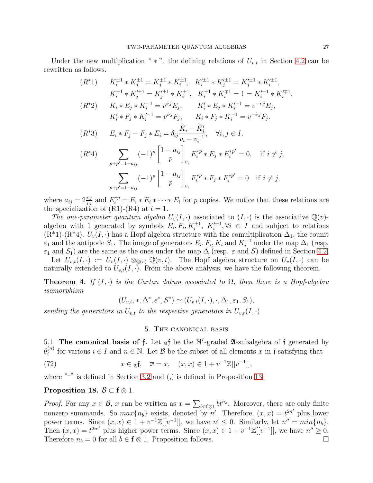Under the new multiplication " \* ", the defining relations of  $U_{v,t}$  in Section [4.2](#page-24-6) can be rewritten as follows.

$$
(R^*) \qquad K_i^{\pm 1} * K_j^{\pm 1} = K_j^{\pm 1} * K_i^{\pm 1}, \quad K_i'^{\pm 1} * K_j'^{\pm 1} = K_j'^{\pm 1} * K_i'^{\pm 1},
$$
\n
$$
K_i^{\pm 1} * K_j'^{\pm 1} = K_j'^{\pm 1} * K_i^{\pm 1}, \quad K_i^{\pm 1} * K_i^{\mp 1} = 1 = K_i'^{\pm 1} * K_i'^{\mp 1}
$$
\n
$$
(R^*) \qquad K_i * E_j * K_i^{-1} = v^{i \cdot j} E_j, \qquad K_i' * E_j * K_i'^{-1} = v^{-i \cdot j} E_j,
$$
\n
$$
K_i' * F_j * K_i'^{-1} = v^{i \cdot j} F_j, \qquad K_i * F_j * K_i^{-1} = v^{-i \cdot j} F_j.
$$
\n
$$
(R^*) \qquad E_i * F_j - F_j * E_i = \delta_{ij} \frac{\widetilde{K}_i - \widetilde{K}_i'}{v_i - v_i^{-1}}, \quad \forall i, j \in I.
$$
\n
$$
(R^*) \qquad \sum_{p+p'=1-a_{ij}} (-1)^p \begin{bmatrix} 1-a_{ij} \\ p \end{bmatrix}_{v_i} E_i^{*p} * E_j * E_i^{*p'} = 0, \quad \text{if } i \neq j,
$$
\n
$$
\sum_{p+p'=1-a_{ij}} (-1)^p \begin{bmatrix} 1-a_{ij} \\ p \end{bmatrix}_{v_i} F_i^{*p} * F_j * F_i^{*p'} = 0 \quad \text{if } i \neq j,
$$

where  $a_{ij} = 2\frac{i \cdot j}{i \cdot i}$  and  $E_i^{*p} = E_i * E_i * \cdots * E_i$  for p copies. We notice that these relations are the specialization of  $(R1)$ - $(R4)$  at  $t = 1$ .

The one-parameter quantum algebra  $U_v(I, \cdot)$  associated to  $(I, \cdot)$  is the associative  $\mathbb{Q}(v)$ algebra with 1 generated by symbols  $E_i, F_i, K_i^{\pm 1}, K_i'^{\pm 1}$  $i^{\pm 1}, \forall i \in I$  and subject to relations  $(R^*1)-(R^*4)$ .  $U_v(I, \cdot)$  has a Hopf algebra structure with the comultiplication  $\Delta_1$ , the counit  $\varepsilon_1$  and the antipode  $S_1$ . The image of generators  $E_i, F_i, K_i$  and  $K_i^{-1}$  under the map  $\Delta_1$  (resp.  $\varepsilon_1$  and  $S_1$ ) are the same as the ones under the map  $\Delta$  (resp.  $\varepsilon$  and S) defined in Section [4.2.](#page-24-6) Let  $U_{v,t}(I, \cdot) := U_v(I, \cdot) \otimes_{\mathbb{Q}(v)} \mathbb{Q}(v,t)$ . The Hopf algebra structure on  $U_v(I, \cdot)$  can be

naturally extended to  $U_{v,t}(I, \cdot)$ . From the above analysis, we have the following theorem.

**Theorem 4.** If  $(I, \cdot)$  is the Cartan datum associated to  $\Omega$ , then there is a Hopf-algebra isomorphism

$$
(U_{v,t},*,\Delta^*,\varepsilon^*,S^*) \simeq (U_{v,t}(I,\cdot),\cdot,\Delta_1,\varepsilon_1,S_1),
$$

<span id="page-26-0"></span>sending the generators in  $U_{v,t}$  to the respective generators in  $U_{v,t}(I,\cdot)$ .

## <span id="page-26-2"></span>5. The canonical basis

<span id="page-26-3"></span>5.1. The canonical basis of f. Let  $_{\mathfrak{A}}$  be the N<sup>I</sup>-graded  $\mathfrak{A}$ -subalgebra of f generated by  $\theta_i^{(n)}$  $i^{(n)}$  for various  $i \in I$  and  $n \in \mathbb{N}$ . Let  $\mathcal{B}$  be the subset of all elements x in f satisfying that

(72) 
$$
x \in \mathfrak{A} \mathfrak{f}, \quad \overline{x} = x, \quad (x, x) \in 1 + v^{-1} \mathbb{Z}[[v^{-1}]],
$$

where "−" is defined in Section [3.2](#page-16-0) and (,) is defined in Proposition [13.](#page-14-5)

## <span id="page-26-1"></span>Proposition 18.  $\mathcal{B} \subset \mathbf{f} \otimes 1$ .

*Proof.* For any  $x \in \mathcal{B}$ , x can be written as  $x = \sum_{b \in \mathbf{f} \otimes 1} bt^{n_b}$ . Moreover, there are only finite nonzero summands. So  $max\{n_b\}$  exists, denoted by n'. Therefore,  $(x, x) = t^{2n'}$  plus lower power terms. Since  $(x, x) \in 1 + v^{-1}\mathbb{Z}[[v^{-1}]],$  we have  $n' \leq 0$ . Similarly, let  $n'' = min\{n_b\}.$ Then  $(x, x) = t^{2n''}$  plus higher power terms. Since  $(x, x) \in 1 + v^{-1}\mathbb{Z}[[v^{-1}]],$  we have  $n'' \ge 0$ . Therefore  $n_b = 0$  for all  $b \in \mathbf{f} \otimes 1$ . Proposition follows.

.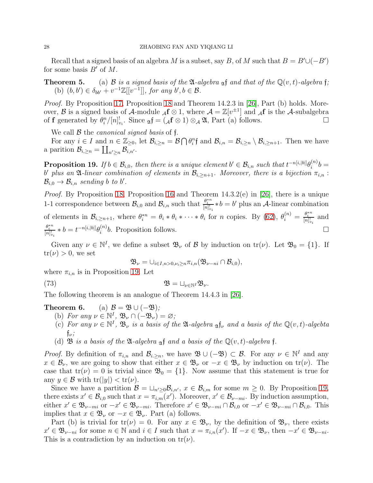Recall that a signed basis of an algebra M is a subset, say B, of M such that  $B = B' \cup (-B')$ for some basis  $B'$  of  $M$ .

**Theorem 5.** (a) B is a signed basis of the  $\mathfrak{A}$ -algebra  $\mathfrak{A}$ f and that of the  $\mathbb{Q}(v, t)$ -algebra f; (b)  $(b, b') \in \delta_{bb'} + v^{-1} \mathbb{Z}[[v^{-1}]],$  for any  $b', b \in \mathcal{B}$ .

*Proof.* By Proposition [17,](#page-24-7) Proposition [18](#page-26-1) and Theorem 14.2.3 in [\[26\]](#page-32-0), Part (b) holds. Moreover,  $\mathcal B$  is a signed basis of  $\mathcal A$ -module  ${}_\mathcal A f \otimes 1$ , where  $\mathcal A = \mathbb Z[v^{\pm 1}]$  and  ${}_\mathcal A f$  is the  $\mathcal A$ -subalgebra of **f** generated by  $\theta_i^n/[n]_{v_i}^!$ . Since  $\alpha_i \mathbf{f} = (\mathcal{A} \mathbf{f} \otimes 1) \otimes \mathcal{A} \mathcal{A}$ , Part (a) follows.

We call  $\beta$  the *canonical signed basis* of f.

For any  $i \in I$  and  $n \in \mathbb{Z}_{\geq 0}$ , let  $\mathcal{B}_{i,\geq n} = \mathcal{B} \bigcap \theta_i^n$ f and  $\mathcal{B}_{i,n} = \mathcal{B}_{i,\geq n} \setminus \mathcal{B}_{i,\geq n+1}$ . Then we have a parition  $\mathcal{B}_{i,\geq n} = \coprod_{n'\geq n} \mathcal{B}_{i,n'}^{-}$ .

<span id="page-27-0"></span>**Proposition 19.** If  $b \in \mathcal{B}_{i,0}$ , then there is a unique element  $b' \in \mathcal{B}_{i,n}$  such that  $t^{-n[i,|b|]}\theta_i^{(n)}$  $\binom{n}{i}b =$ b' plus an  $\mathfrak A$ -linear combination of elements in  $\mathcal B_{i, \geq n+1}$ . Moreover, there is a bijection  $\pi_{i,n}$ :  $\mathcal{B}_{i,0} \to \mathcal{B}_{i,n}$  sending b to b'.

Proof. By Proposition [18,](#page-26-1) Proposition [16](#page-23-0) and Theorem 14.3.2(e) in [\[26\]](#page-32-0), there is a unique 1-1 correspondence between  $\mathcal{B}_{i,0}$  and  $\mathcal{B}_{i,n}$  such that  $\frac{\theta_i^{*n}}{[n]_{v_i}^1} * b = b'$  plus an A-linear combination of elements in  $\mathcal{B}_{i,\geq n+1}$ , where  $\theta_i^{*n} = \theta_i * \theta_i * \cdots * \theta_i$  for *n* copies. By [\(62\)](#page-23-3),  $\theta_i^{(n)} = \frac{\theta_i^{*n}}{[n]_{v_i}!}$  and  $\frac{\theta_i^{*n}}{[n]_{v_i}!} * b = t^{-n[i,|b|]} \theta_i^{(n)}$  $\bigcup_i^{(n)} b$ . Proposition follows.

Given any  $\nu \in \mathbb{N}^I$ , we define a subset  $\mathfrak{B}_{\nu}$  of  $\mathcal{B}$  by induction on  $tr(\nu)$ . Let  $\mathfrak{B}_0 = \{1\}$ . If  $tr(\nu) > 0$ , we set

<span id="page-27-1"></span>
$$
\mathfrak{B}_{\nu}=\cup_{i\in I,n>0,\nu_i\geq n}\pi_{i,n}(\mathfrak{B}_{\nu-ni}\cap\mathcal{B}_{i,0}),
$$

where  $\pi_{i,n}$  is in Proposition [19.](#page-27-0) Let

(73) 
$$
\mathfrak{B} = \sqcup_{\nu \in \mathbb{N}^I} \mathfrak{B}_{\nu}.
$$

The following theorem is an analogue of Theorem 14.4.3 in [\[26\]](#page-32-0).

# Theorem 6. (a)  $\mathcal{B} = \mathfrak{B} \cup (-\mathfrak{B})$ ;

- (b) For any  $\nu \in \mathbb{N}^I$ ,  $\mathfrak{B}_{\nu} \cap (-\mathfrak{B}_{\nu}) = \varnothing$ ;
- (c) For any  $\nu \in \mathbb{N}^I$ ,  $\mathfrak{B}_{\nu}$  is a basis of the  $\mathfrak{A}$ -algebra  $\mathfrak{g} \mathfrak{f}_{\nu}$  and a basis of the  $\mathbb{Q}(v,t)$ -algebra  ${\mathfrak f}_\nu;$
- (d) **B** is a basis of the **Q-**algebra of and a basis of the  $\mathbb{Q}(v,t)$ -algebra f.

*Proof.* By definition of  $\pi_{i,n}$  and  $\mathcal{B}_{i,\geq n}$ , we have  $\mathfrak{B} \cup (-\mathfrak{B}) \subset \mathcal{B}$ . For any  $\nu \in \mathbb{N}^I$  and any  $x \in \mathcal{B}_{\nu}$ , we are going to show that either  $x \in \mathfrak{B}_{\nu}$  or  $-x \in \mathfrak{B}_{\nu}$  by induction on  $tr(\nu)$ . The case that  $tr(\nu) = 0$  is trivial since  $\mathfrak{B}_0 = \{1\}$ . Now assume that this statement is true for any  $y \in \mathcal{B}$  with  $tr(|y|) < tr(\nu)$ .

Since we have a partition  $\mathcal{B} = \sqcup_{n'\geq 0} \mathcal{B}_{i,n'}$ ,  $x \in \mathcal{B}_{i,m}$  for some  $m \geq 0$ . By Proposition [19,](#page-27-0) there exists  $x' \in \mathcal{B}_{i,0}$  such that  $x = \pi_{i,m}(x')$ . Moreover,  $x' \in \mathcal{B}_{\nu-mi}$ . By induction assumption, either  $x' \in \mathfrak{B}_{\nu-mi}$  or  $-x' \in \mathfrak{B}_{\nu-mi}$ . Therefore  $x' \in \mathfrak{B}_{\nu-mi} \cap \mathcal{B}_{i,0}$  or  $-x' \in \mathfrak{B}_{\nu-mi} \cap \mathcal{B}_{i,0}$ . This implies that  $x \in \mathfrak{B}_{\nu}$  or  $-x \in \mathfrak{B}_{\nu}$ . Part (a) follows.

Part (b) is trivial for  $tr(\nu) = 0$ . For any  $x \in \mathfrak{B}_{\nu}$ , by the definition of  $\mathfrak{B}_{\nu}$ , there exists  $x' \in \mathfrak{B}_{\nu-ni}$  for some  $n \in \mathbb{N}$  and  $i \in I$  such that  $x = \pi_{i,n}(x')$ . If  $-x \in \mathfrak{B}_{\nu}$ , then  $-x' \in \mathfrak{B}_{\nu-ni}$ . This is a contradiction by an induction on  $tr(\nu)$ .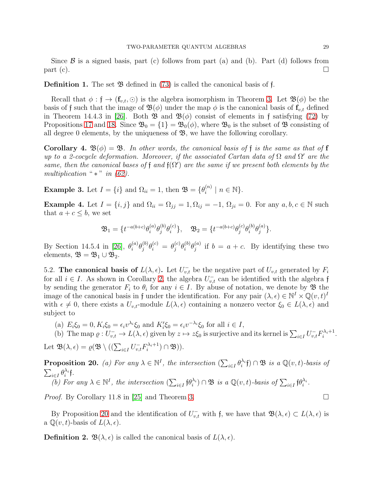Since  $\beta$  is a signed basis, part (c) follows from part (a) and (b). Part (d) follows from part (c).  $\Box$ 

**Definition 1.** The set  $\mathfrak{B}$  defined in [\(73\)](#page-27-1) is called the canonical basis of f.

Recall that  $\phi : \mathfrak{f} \to (\mathbf{f}_{v,t}, \odot)$  is the algebra isomorphism in Theorem [3.](#page-22-2) Let  $\mathfrak{B}(\phi)$  be the basis of f such that the image of  $\mathfrak{B}(\phi)$  under the map  $\phi$  is the canonical basis of  $f_{v,t}$  defined in Theorem 14.4.3 in [\[26\]](#page-32-0). Both  $\mathfrak{B}$  and  $\mathfrak{B}(\phi)$  consist of elements in f satisfying [\(72\)](#page-26-2) by Propositions [17](#page-24-7) and [18.](#page-26-1) Since  $\mathfrak{B}_0 = \{1\} = \mathfrak{B}_0(\phi)$ , where  $\mathfrak{B}_0$  is the subset of  $\mathfrak{B}$  consisting of all degree 0 elements, by the uniqueness of  $\mathfrak{B}$ , we have the following corollary.

**Corollary 4.**  $\mathfrak{B}(\phi) = \mathfrak{B}$ . In other words, the canonical basis of f is the same as that of f up to a 2-cocycle deformation. Moreover, if the associated Cartan data of  $\Omega$  and  $\Omega'$  are the same, then the canonical bases of f and  $f(\Omega')$  are the same if we present both elements by the multiplication " $*$ " in [\(62\)](#page-23-3).

**Example 3.** Let  $I = \{i\}$  and  $\Omega_{ii} = 1$ , then  $\mathfrak{B} = \{\theta_i^{(n)}\}$  $\binom{n}{i}$  |  $n \in \mathbb{N}$ .

Example 4. Let  $I = \{i, j\}$  and  $\Omega_{ii} = \Omega_{jj} = 1, \Omega_{ij} = -1, \Omega_{ji} = 0$ . For any  $a, b, c \in \mathbb{N}$  such that  $a + c \leq b$ , we set

$$
\mathfrak{B}_1 = \{ t^{-a(b+c)} \theta_i^{(a)} \theta_j^{(b)} \theta_i^{(c)} \}, \quad \mathfrak{B}_2 = \{ t^{-a(b+c)} \theta_j^{(c)} \theta_i^{(b)} \theta_j^{(a)} \}.
$$

By Section 14.5.4 in [\[26\]](#page-32-0),  $\theta_i^{(a)}$  $\stackrel{(a)}{i}\theta_j^{(b)}$  $\theta_j^{(b)}\theta_i^{(c)}\,=\,\theta_j^{(c)}$  $\,j}^{(c)}\theta_{i}^{(b)}$  $\overset{(b)}{i}\theta_j^{(a)}$  $j^{(a)}$  if  $b = a + c$ . By identifying these two elements,  $\mathfrak{B} = \mathfrak{B}_1 \cup \mathfrak{B}_2$ .

5.2. The canonical basis of  $L(\lambda, \epsilon)$ . Let  $U_{v,t}^-$  be the negative part of  $U_{v,t}$  generated by  $F_i$ for all  $i \in I$ . As shown in Corollary [2,](#page-24-8) the algebra  $U_{v,t}^-$  can be identified with the algebra f by sending the generator  $F_i$  to  $\theta_i$  for any  $i \in I$ . By abuse of notation, we denote by  $\mathfrak{B}$  the image of the canonical basis in f under the identification. For any pair  $(\lambda, \epsilon) \in \mathbb{N}^I \times \mathbb{Q}(v, t)^I$ with  $\epsilon \neq 0$ , there exists a  $U_{v,t}$ -module  $L(\lambda, \epsilon)$  containing a nonzero vector  $\xi_0 \in L(\lambda, \epsilon)$  and subject to

(a)  $E_i \xi_0 = 0, K_i \xi_0 = \epsilon_i v^{\lambda_i} \xi_0$  and  $K'_i \xi_0 = \epsilon_i v^{-\lambda_i} \xi_0$  for all  $i \in I$ ,

(b) The map 
$$
\varrho: U_{v,t}^- \to L(\lambda, \epsilon)
$$
 given by  $z \mapsto z\xi_0$  is surjective and its kernel is  $\sum_{i \in I} U_{v,t}^- F_i^{\lambda_i+1}$ .

Let 
$$
\mathfrak{B}(\lambda, \epsilon) = \varrho(\mathfrak{B} \setminus ((\sum_{i \in I} U_{v,t} \mathfrak{F}_i^{\lambda_i+1}) \cap \mathfrak{B})).
$$

<span id="page-28-0"></span>**Proposition 20.** (a) For any  $\lambda \in \mathbb{N}^I$ , the intersection  $(\sum_{i \in I} \theta_i^{\lambda_i} \mathfrak{f}) \cap \mathfrak{B}$  is a  $\mathbb{Q}(v, t)$ -basis of  $\sum_{i\in I}\theta_i^{\lambda_i}$ f. (b) For any  $\lambda \in \mathbb{N}^I$ , the intersection  $(\sum_{i \in I} \mathfrak{f} \theta_i^{\lambda_i}) \cap \mathfrak{B}$  is a  $\mathbb{Q}(v, t)$ -basis of  $\sum_{i \in I} \mathfrak{f} \theta_i^{\lambda_i}$ .

*Proof.* By Corollary 11.8 in [\[25\]](#page-32-3) and Theorem [3.](#page-22-2)

By Proposition [20](#page-28-0) and the identification of  $U_{v,t}^-$  with f, we have that  $\mathfrak{B}(\lambda,\epsilon) \subset L(\lambda,\epsilon)$  is a  $\mathbb{Q}(v,t)$ -basis of  $L(\lambda,\epsilon)$ .

**Definition 2.**  $\mathfrak{B}(\lambda, \epsilon)$  is called the canonical basis of  $L(\lambda, \epsilon)$ .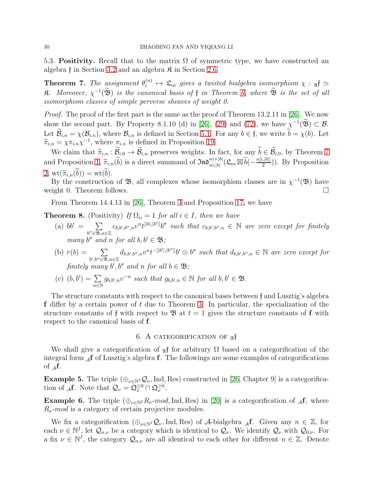<span id="page-29-2"></span>5.3. Positivity. Recall that to the matrix  $\Omega$  of symmetric type, we have constructed an algebra f in Section [3.2](#page-16-0) and an algebra  $\mathfrak K$  in Section [2.6.](#page-7-1)

<span id="page-29-1"></span>**Theorem 7.** The assignment  $\theta_i^{(n)}$  $\mathcal{L}_{i}^{(n)} \mapsto \mathcal{L}_{ni}$  gives a twisted bialgebra isomorphism  $\chi : \mathfrak{A} \simeq \mathfrak{A}$  $\mathfrak K.$  Moreover,  $\chi^{-1}(\mathfrak B)$  is the canonical basis of  $\mathfrak f$  in Theorem 6, where  $\mathfrak B$  is the set of all isomorphism classes of simple perverse sheaves of weight 0.

Proof. The proof of the first part is the same as the proof of Theorem 13.2.11 in [\[26\]](#page-32-0). We now show the second part. By Property 8.1.10 (d) in [\[26\]](#page-32-0), [\(29\)](#page-11-2) and [\(72\)](#page-26-2), we have  $\chi^{-1}(\mathfrak{B}) \subset \mathcal{B}$ . Let  $\widetilde{\mathcal{B}}_{i,n} = \chi(\mathcal{B}_{i,n})$ , where  $\mathcal{B}_{i,n}$  is defined in Section [5.1.](#page-26-3) For any  $b \in \mathfrak{f}$ , we write  $\widetilde{b} = \chi(b)$ . Let  $\widetilde{\pi}_{i,n} = \chi \pi_{i,n} \chi^{-1}$ , where  $\pi_{i,n}$  is defined in Proposition [19.](#page-27-0)

We claim that  $\widetilde{\pi}_{i,n} : \widetilde{\mathcal{B}}_{i,0} \to \widetilde{\mathcal{B}}_{i,n}$  preserves weights. In fact, for any  $\widetilde{b} \in \widetilde{\mathcal{B}}_{i,0}$ , by Theorem [7](#page-29-1) and Proposition [1,](#page-6-1)  $\widetilde{\pi}_{i,n}(\widetilde{b})$  is a direct summand of  $\mathfrak{Ind}_{ni,|b|}^{ni+|b|}(\mathfrak{L}_{ni} \boxtimes \widetilde{b}(-\frac{n[i,|b|]}{2}))$  $\binom{[0][2]}{2}$ . By Proposition 2,  $\operatorname{wt}(\widetilde{\pi}_{i,n}(\widetilde{b})) = \operatorname{wt}(\widetilde{b}).$ 

By the construction of  $\mathfrak{B}$ , all complexes whose isomorphism classes are in  $\chi^{-1}(\mathfrak{B})$  have weight 0. Theorem follows.

From Theorem 14.4.13 in [\[26\]](#page-32-0), Theorem [3](#page-22-2) and Proposition [17,](#page-24-7) we have

**Theorem 8.** (Positivity) If  $\Omega_{ii} = 1$  for all  $i \in I$ , then we have

- (a)  $bb' = \sum$  $b'' \in \mathfrak{B}, n \in \mathbb{Z}$  $c_{b,b',b'',n}v^{n}t^{[|b|,|b'|]}b''$  such that  $c_{b,b',b'',n} \in \mathbb{N}$  are zero except for finitely many  $b''$  and n for all  $b, b' \in \mathfrak{B}$ ;
- (b)  $r(b) = \sum$  $b', b'' \in \mathfrak{B}, n \in \mathbb{Z}$  $d_{b,b',b'',n}v^{n}t^{-[|b'|,|b''|]}b'\otimes b''$  such that  $d_{b,b',b'',n} \in \mathbb{N}$  are zero except for finitely many b', b'' and n for all  $b \in \mathfrak{B}$ ;
- (c)  $(b, b') = \sum$ n∈N  $g_{b,b',n}v^{-n}$  such that  $g_{b,b',n} \in \mathbb{N}$  for all  $b,b' \in \mathfrak{B}$ .

The structure constants with respect to the canonical bases between f and Lusztig's algebra f differ by a certain power of  $t$  due to Theorem [3.](#page-22-2) In particular, the specialization of the structure constants of f with respect to  $\mathfrak{B}$  at  $t = 1$  gives the structure constants of f with respect to the canonical basis of f.

# 6. A CATEGORIFICATION OF  $\alpha$ f

<span id="page-29-0"></span>We shall give a categorification of  $_{\mathfrak{A}} f$  for arbitrary  $\Omega$  based on a categorification of the integral form  $_{\mathcal{A}} f$  of Lusztig's algebra f. The followings are some examples of categorifications of  $_{4}f$ .

**Example 5.** The triple  $(\bigoplus_{\nu \in \mathbb{N}^I} \mathcal{Q}_{\nu}, \text{Ind}, \text{Res})$  constructed in [\[26,](#page-32-0) Chapter 9] is a categorification of  $_{\mathcal{A}}f$ . Note that  $\mathcal{Q}_{\nu} = \mathfrak{Q}_{\nu}^{\leq 0} \cap \mathfrak{Q}_{\nu}^{\geq 0}$ .

**Example 6.** The triple  $(\bigoplus_{\nu \in \mathbb{N}^I} R_{\nu} \text{-}mod, \text{Ind}, \text{Res})$  in [\[20\]](#page-32-4) is a categorification of  $\mathcal{A}$ **f**, where  $R_{\nu}$ -mod is a category of certain projective modules.

We fix a categorification  $(\bigoplus_{\nu \in \mathbb{N}^I} \mathcal{Q}_{\nu}, \text{Ind}, \text{Res})$  of A-bialgebra  $\mathcal{A}$ f. Given any  $n \in \mathbb{Z}$ , for each  $\nu \in \mathbb{N}^I$ , let  $\mathcal{Q}_{n,\nu}$  be a category which is identical to  $\mathcal{Q}_{\nu}$ . We identify  $\mathcal{Q}_{\nu}$  with  $\mathcal{Q}_{0,\nu}$ . For a fix  $\nu \in \mathbb{N}^I$ , the category  $\mathcal{Q}_{n,\nu}$  are all identical to each other for different  $n \in \mathbb{Z}$ . Denote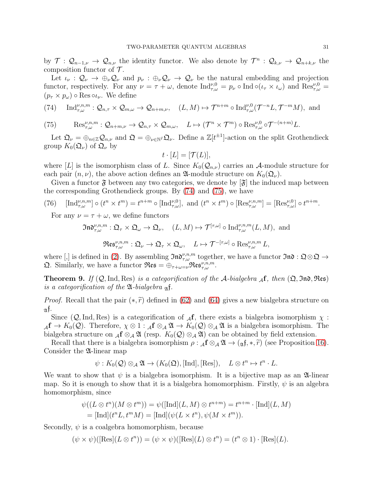by  $\mathcal{T}: \mathcal{Q}_{n-1,\nu} \to \mathcal{Q}_{n,\nu}$  the identity functor. We also denote by  $\mathcal{T}^n: \mathcal{Q}_{k,\nu} \to \mathcal{Q}_{n+k,\nu}$  the composition functor of  $\mathcal T$ .

Let  $\iota_{\nu}: \mathcal{Q}_{\nu} \to \oplus_{\nu} \mathcal{Q}_{\nu}$  and  $p_{\nu}: \oplus_{\nu} \mathcal{Q}_{\nu} \to \mathcal{Q}_{\nu}$  be the natural embedding and projection functor, respectively. For any  $\nu = \tau + \omega$ , denote  $\text{Ind}_{\tau,\omega}^{\nu,0} = p_{\nu} \circ \text{Ind} \circ (\iota_{\tau} \times \iota_{\omega})$  and  $\text{Res}_{\tau,\omega}^{\nu,0} =$  $(p_\tau \times p_\omega) \circ \text{Res} \circ \iota_\nu$ . We define

<span id="page-30-0"></span>(74) Ind
$$
\gamma_{\tau,\omega}^{\nu,n,m}: \mathcal{Q}_{n,\tau} \times \mathcal{Q}_{m,\omega} \to \mathcal{Q}_{n+m,\nu}, \quad (L,M) \mapsto \mathcal{T}^{n+m} \circ \text{Ind}_{\tau,\omega}^{\nu,0}(\mathcal{T}^{-n}L, \mathcal{T}^{-m}M), \text{ and}
$$

<span id="page-30-1"></span>(75)  $\text{Res}_{\tau,\omega}^{\nu,n,m} : \mathcal{Q}_{n+m,\nu} \to \mathcal{Q}_{n,\tau} \times \mathcal{Q}_{m,\omega}, \quad L \mapsto (\mathcal{T}^n \times \mathcal{T}^m) \circ \text{Res}_{\tau,\omega}^{\nu,0} \circ \mathcal{T}^{-(n+m)} L.$ 

Let  $\mathfrak{Q}_{\nu} = \bigoplus_{n \in \mathbb{Z}} \mathcal{Q}_{n,\nu}$  and  $\mathfrak{Q} = \bigoplus_{\nu \in \mathbb{N}^I} \mathfrak{Q}_{\nu}$ . Define a  $\mathbb{Z}[t^{\pm 1}]$ -action on the split Grothendieck group  $K_0(\mathfrak{Q}_\nu)$  of  $\mathfrak{Q}_\nu$  by

$$
t\cdot [L]=[\mathcal{T}(L)],
$$

where [L] is the isomorphism class of L. Since  $K_0(\mathcal{Q}_{n,\nu})$  carries an A-module structure for each pair  $(n, \nu)$ , the above action defines an  $\mathfrak{A}\text{-module structure on } K_0(\mathfrak{Q}_\nu)$ .

Given a functor  $\mathfrak{F}$  between any two categories, we denote by  $[\mathfrak{F}]$  the induced map between the corresponding Grothendieck groups. By [\(74\)](#page-30-0) and [\(75\)](#page-30-1), we have

(76) 
$$
[\text{Ind}_{\tau,\omega}^{\nu,n,m}] \circ (t^n \times t^m) = t^{n+m} \circ [\text{Ind}_{\tau,\omega}^{\nu,0}], \text{ and } (t^n \times t^m) \circ [\text{Res}_{\tau,\omega}^{\nu,n,m}] = [\text{Res}_{\tau,\omega}^{\nu,0}] \circ t^{n+m}.
$$

For any  $\nu = \tau + \omega$ , we define functors

$$
\mathfrak{Ind}_{\tau,\omega}^{\nu,n,m} : \mathfrak{Q}_\tau \times \mathfrak{Q}_\omega \to \mathfrak{Q}_\nu, \quad (L,M) \mapsto \mathcal{T}^{[\tau,\omega]} \circ \mathrm{Ind}_{\tau,\omega}^{\nu,n,m}(L,M), \text{ and}
$$

$$
\mathfrak{Res}_{\tau,\omega}^{\nu,n,m}:\mathfrak{Q}_{\nu}\rightarrow\mathfrak{Q}_{\tau}\times\mathfrak{Q}_{\omega},\quad L\mapsto\mathcal{T}^{-[\tau,\omega]}\circ\mathrm{Res}_{\tau,\omega}^{\nu,n,m}L,
$$

where [,] is defined in [\(2\)](#page-4-0). By assembling  $\mathfrak{Ind}_{\tau,\omega}^{\nu,n,m}$  together, we have a functor  $\mathfrak{Ind}:\mathfrak{Q}\otimes\mathfrak{Q}\to$ **Q**. Similarly, we have a functor  $\Re \varepsilon s = \bigoplus_{\tau+\omega=\nu} \Re \varepsilon s_{\tau,\omega}^{\nu,n,m}$ .

**Theorem 9.** If  $(Q, \text{Ind}, \text{Res})$  is a categorification of the A-bialgebra  $_A f$ , then  $(\mathfrak{Q}, \mathfrak{Ind}, \mathfrak{Res})$ is a categorification of the  $\mathfrak A$ -bialgebra  $\mathfrak A$ f.

*Proof.* Recall that the pair  $(*, \tilde{r})$  defined in [\(62\)](#page-23-3) and [\(64\)](#page-23-2) gives a new bialgebra structure on  $\mathfrak{A}$ f.

Since  $(Q, \text{Ind}, \text{Res})$  is a categorification of  $\mathcal{A}$ f, there exists a bialgebra isomorphism  $\chi$ :  $A$ **f**  $\to K_0(\mathcal{Q})$ . Therefore,  $\chi \otimes 1 : A$ **f**  $\otimes_A \mathfrak{A} \to K_0(\mathcal{Q}) \otimes_A \mathfrak{A}$  is a bialgebra isomorphism. The bialgebra structure on  $_{\mathcal{A}} f \otimes_{\mathcal{A}} \mathfrak{A}$  (resp.  $K_0(\mathcal{Q}) \otimes_{\mathcal{A}} \mathfrak{A}$ ) can be obtained by field extension.

Recall that there is a bialgebra isomorphism  $\rho : A \otimes_{\mathcal{A}} \mathfrak{A} \to (A \circ \mathfrak{f}, A, \tilde{r})$  (see Proposition [16\)](#page-23-0). Consider the 24-linear map

$$
\psi: K_0(\mathcal{Q}) \otimes_{\mathcal{A}} \mathfrak{A} \to (K_0(\mathfrak{Q}), [\text{Ind}], [\text{Res}]), \quad L \otimes t^n \mapsto t^n \cdot L.
$$

We want to show that  $\psi$  is a bialgebra isomorphism. It is a bijective map as an  $\mathfrak{A}$ -linear map. So it is enough to show that it is a bialgebra homomorphism. Firstly,  $\psi$  is an algebra homomorphism, since

$$
\psi((L \otimes t^n)(M \otimes t^m)) = \psi([\text{Ind}](L, M) \otimes t^{n+m}) = t^{n+m} \cdot [\text{Ind}](L, M)
$$
  
= [Ind](t^n L, t^m M) = [Ind](\psi(L \times t^n), \psi(M \times t^m)).

Secondly,  $\psi$  is a coalgebra homomorphism, because

 $(\psi \times \psi)([\text{Res}](L \otimes t^n)) = (\psi \times \psi)([\text{Res}](L) \otimes t^n) = (t^n \otimes 1) \cdot [\text{Res}](L).$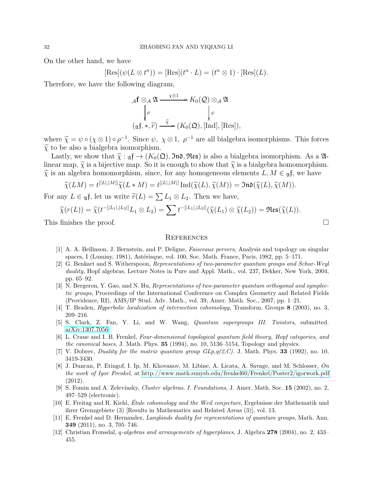On the other hand, we have

$$
[\mathrm{Res}](\psi(L \otimes t^n)) = [\mathrm{Res}](t^n \cdot L) = (t^n \otimes 1) \cdot [\mathrm{Res}](L).
$$

Therefore, we have the following diagram,

$$
\mathcal{A}f \otimes_{\mathcal{A}} \mathfrak{A} \xrightarrow{\chi \otimes 1} K_0(\mathcal{Q}) \otimes_{\mathcal{A}} \mathfrak{A}
$$
  

$$
\downarrow \rho
$$
  

$$
(\mathfrak{A}f, *, \widetilde{r}) \xrightarrow{\widetilde{\chi}} (K_0(\mathfrak{Q}), [\text{Ind}], [\text{Res}]),
$$

where  $\tilde{\chi} = \psi \circ (\chi \otimes 1) \circ \rho^{-1}$ . Since  $\psi$ ,  $\chi \otimes 1$ ,  $\rho^{-1}$  are all bialgebra isomorphisms. This forces  $\tilde{\chi}$  to be also a bialgebra isomorphism.

Lastly, we show that  $\tilde{\chi}: \mathfrak{g} \mathfrak{f} \to (K_0(\mathfrak{Q}), \mathfrak{Ind}, \mathfrak{Res})$  is also a bialgebra isomorphism. As a  $\mathfrak{A}$ linear map,  $\tilde{\chi}$  is a bijective map. So it is enough to show that  $\tilde{\chi}$  is a bialgebra homomorphism.  $\tilde{\chi}$  is an algebra homomorphism, since, for any homogeneous elements  $L, M \in \mathfrak{A}$ f, we have

$$
\widetilde{\chi}(LM) = t^{[[L],[M]]}\widetilde{\chi}(L*M) = t^{[[L],[M]]}\operatorname{Ind}(\widetilde{\chi}(L),\widetilde{\chi}(M)) = \mathfrak{Ind}(\widetilde{\chi}(L),\widetilde{\chi}(M)).
$$

For any  $L \in \mathfrak{g} \mathfrak{f}$ , let us write  $\widetilde{r}(L) = \sum L_1 \otimes L_2$ . Then we have,

$$
\widetilde{\chi}(r(L)) = \widetilde{\chi}(t^{-[[L_1],[L_2]]}L_1 \otimes L_2) = \sum t^{-[[L_1],[L_2]]}(\widetilde{\chi}(L_1) \otimes \widetilde{\chi}(L_2)) = \mathfrak{Res}(\widetilde{\chi}(L)).
$$

This finishes the proof.

## <span id="page-31-9"></span>**REFERENCES**

- <span id="page-31-10"></span>[1] A. A. Be˘ılinson, J. Bernstein, and P. Deligne, Faisceaux pervers, Analysis and topology on singular spaces, I (Luminy, 1981), Astérisque, vol. 100, Soc. Math. France, Paris, 1982, pp.  $5-171$ .
- <span id="page-31-4"></span>[2] G. Benkart and S. Witherspoon, Representations of two-parameter quantum groups and Schur-Weyl duality, Hopf algebras, Lecture Notes in Pure and Appl. Math., vol. 237, Dekker, New York, 2004, pp. 65–92.
- <span id="page-31-6"></span>[3] N. Bergeron, Y. Gao, and N. Hu, Representations of two-parameter quantum orthogonal and symplectic groups, Proceedings of the International Conference on Complex Geometry and Related Fields (Providence, RI), AMS/IP Stud. Adv. Math., vol. 39, Amer. Math. Soc., 2007, pp. 1–21.
- <span id="page-31-12"></span><span id="page-31-2"></span>[4] T. Braden, Hyperbolic localization of intersection cohomology, Transform. Groups 8 (2003), no. 3, 209–216.
- <span id="page-31-1"></span>[5] S. Clark, Z. Fan, Y. Li, and W. Wang, Quantum supergroups III. Twistors, submitted. [arXiv:1307.7056.](http://arxiv.org/abs/1307.7056)
- [6] L. Crane and I. B. Frenkel, Four-dimensional topological quantum field theory, Hopf categories, and the canonical bases, J. Math. Phys.  $35$  (1994), no. 10, 5136–5154, Topology and physics.
- <span id="page-31-7"></span><span id="page-31-3"></span>[7] V. Dobrev, Duality for the matrix quantum group  $GLp,q(2,C)$ . J. Math. Phys. **33** (1992), no. 10, 3419-3430.
- [8] J. Duncan, P. Etingof, I. Ip, M. Khovanov, M. Libine, A. Licata, A. Savage, and M. Schlosser, On the work of Igor Frenkel, at<http://www.math.sunysb.edu/frenkel60/Frenkel/Poster2/igorwork.pdf> (2012).
- <span id="page-31-0"></span>[9] S. Fomin and A. Zelevinsky, Cluster algebras. I. Foundations, J. Amer. Math. Soc. 15 (2002), no. 2, 497–529 (electronic).
- <span id="page-31-11"></span>[10] E. Freitag and R. Kiehl, *Étale cohomology and the Weil conjecture*, Ergebnisse der Mathematik und ihrer Grenzgebiete (3) [Results in Mathematics and Related Areas (3)], vol. 13.
- <span id="page-31-8"></span>[11] E. Frenkel and D. Hernandez, *Langlands duality for representations of quantum groups*, Math. Ann. 349 (2011), no. 3, 705–746.
- <span id="page-31-5"></span>[12] Christian Frønsdal, q-algebras and arrangements of hyperplanes, J. Algebra 278 (2004), no. 2, 433– 455.